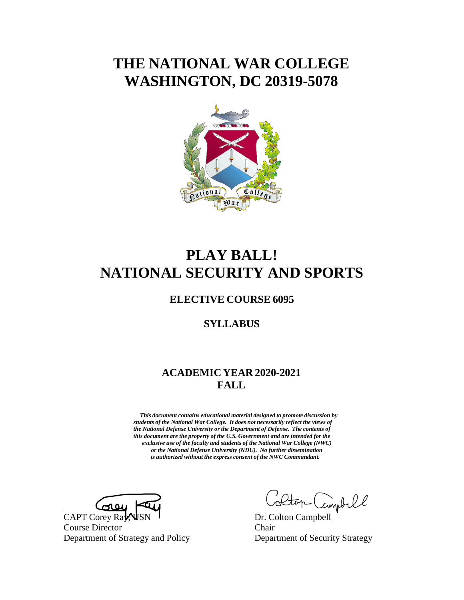# **THE NATIONAL WAR COLLEGE WASHINGTON, DC 20319-5078**



# **PLAY BALL! NATIONAL SECURITY AND SPORTS**

## **ELECTIVE COURSE 6095**

## **SYLLABUS**

# **ACADEMIC YEAR 2020-2021 FALL**

*This document contains educational material designed to promote discussion by students of the National War College. It does not necessarily reflect the views of the National Defense University or the Department of Defense. The contents of this document are the property of the U.S. Government and are intended for the exclusive use of the faculty and students of the National War College (NWC) or the National Defense University (NDU). No further dissemination is authorized without the express consent of the NWC Commandant.*

Course Director<br>
Chair<br>
Chair<br>
Chair<br>
Chair<br>
Chair<br>
Department of Security Strategy Department of Strategy and Policy

 $\overline{a}$ 

CAPT Corey Ray, USN 1 Dr. Colton Campbell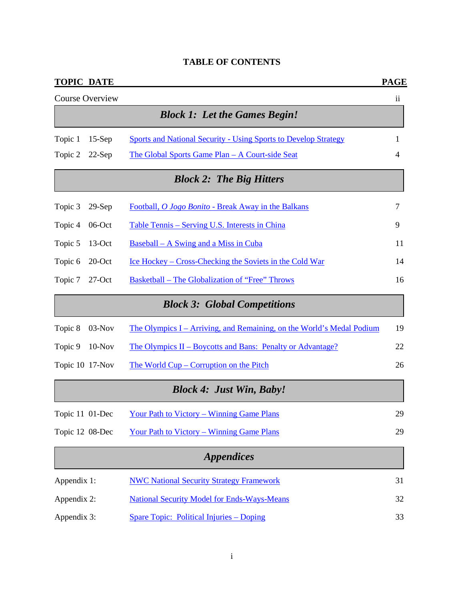# **TABLE OF CONTENTS**

| <b>TOPIC DATE</b> |                        |                                                                              | <b>PAGE</b>             |
|-------------------|------------------------|------------------------------------------------------------------------------|-------------------------|
|                   | <b>Course Overview</b> |                                                                              | $\overline{\mathbf{u}}$ |
|                   |                        | <b>Block 1: Let the Games Begin!</b>                                         |                         |
| Topic 1           | $15-Sep$               | <b>Sports and National Security - Using Sports to Develop Strategy</b>       | 1                       |
| Topic 2           | $22-Sep$               | The Global Sports Game Plan - A Court-side Seat                              | 4                       |
|                   |                        | <b>Block 2: The Big Hitters</b>                                              |                         |
| Topic 3           | $29-Sep$               | Football, O Jogo Bonito - Break Away in the Balkans                          | 7                       |
| Topic 4           | $06$ -Oct              | Table Tennis - Serving U.S. Interests in China                               | 9                       |
| Topic 5           | $13-Oct$               | <u>Baseball – A Swing and a Miss in Cuba</u>                                 | 11                      |
| Topic 6           | $20$ -Oct              | <u>Ice Hockey – Cross-Checking the Soviets in the Cold War</u>               | 14                      |
| Topic 7           | $27$ -Oct              | <b>Basketball - The Globalization of "Free" Throws</b>                       | 16                      |
|                   |                        | <b>Block 3: Global Competitions</b>                                          |                         |
| Topic 8           | $03-Nov$               | <u>The Olympics I – Arriving, and Remaining, on the World's Medal Podium</u> | 19                      |
| Topic 9           | $10$ -Nov              | <u>The Olympics II – Boycotts and Bans: Penalty or Advantage?</u>            | 22                      |
| Topic 10 17-Nov   |                        | The World Cup – Corruption on the Pitch                                      | 26                      |
|                   |                        | <b>Block 4: Just Win, Baby!</b>                                              |                         |
| Topic 11 01-Dec   |                        | Your Path to Victory – Winning Game Plans                                    | 29                      |
| Topic 12 08-Dec   |                        | <b>Your Path to Victory – Winning Game Plans</b>                             | 29                      |
|                   |                        | <i><b>Appendices</b></i>                                                     |                         |
| Appendix 1:       |                        | <b>NWC National Security Strategy Framework</b>                              | 31                      |
| Appendix 2:       |                        | <b>National Security Model for Ends-Ways-Means</b>                           | 32                      |
| Appendix 3:       |                        | <b>Spare Topic: Political Injuries – Doping</b>                              | 33                      |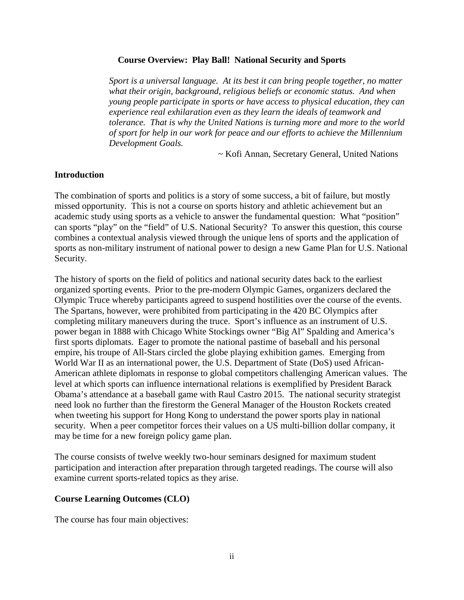#### **Course Overview: Play Ball! National Security and Sports**

*Sport is a universal language. At its best it can bring people together, no matter what their origin, background, religious beliefs or economic status. And when young people participate in sports or have access to physical education, they can experience real exhilaration even as they learn the ideals of teamwork and tolerance. That is why the United Nations is turning more and more to the world of sport for help in our work for peace and our efforts to achieve the Millennium Development Goals.*

~ Kofi Annan, Secretary General, United Nations

## **Introduction**

The combination of sports and politics is a story of some success, a bit of failure, but mostly missed opportunity. This is not a course on sports history and athletic achievement but an academic study using sports as a vehicle to answer the fundamental question: What "position" can sports "play" on the "field" of U.S. National Security? To answer this question, this course combines a contextual analysis viewed through the unique lens of sports and the application of sports as non-military instrument of national power to design a new Game Plan for U.S. National Security.

The history of sports on the field of politics and national security dates back to the earliest organized sporting events. Prior to the pre-modern Olympic Games, organizers declared the Olympic Truce whereby participants agreed to suspend hostilities over the course of the events. The Spartans, however, were prohibited from participating in the 420 BC Olympics after completing military maneuvers during the truce. Sport's influence as an instrument of U.S. power began in 1888 with Chicago White Stockings owner "Big Al" Spalding and America's first sports diplomats. Eager to promote the national pastime of baseball and his personal empire, his troupe of All-Stars circled the globe playing exhibition games. Emerging from World War II as an international power, the U.S. Department of State (DoS) used African-American athlete diplomats in response to global competitors challenging American values. The level at which sports can influence international relations is exemplified by President Barack Obama's attendance at a baseball game with Raul Castro 2015. The national security strategist need look no further than the firestorm the General Manager of the Houston Rockets created when tweeting his support for Hong Kong to understand the power sports play in national security. When a peer competitor forces their values on a US multi-billion dollar company, it may be time for a new foreign policy game plan.

The course consists of twelve weekly two-hour seminars designed for maximum student participation and interaction after preparation through targeted readings. The course will also examine current sports-related topics as they arise.

#### **Course Learning Outcomes (CLO)**

The course has four main objectives: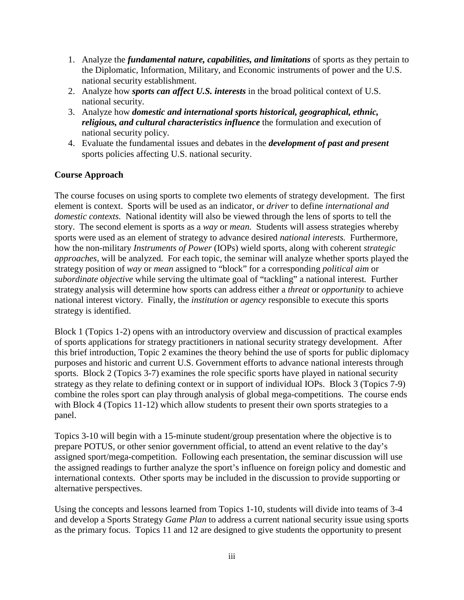- 1. Analyze the *fundamental nature, capabilities, and limitations* of sports as they pertain to the Diplomatic, Information, Military, and Economic instruments of power and the U.S. national security establishment.
- 2. Analyze how *sports can affect U.S. interests* in the broad political context of U.S. national security.
- 3. Analyze how *domestic and international sports historical, geographical, ethnic, religious, and cultural characteristics influence* the formulation and execution of national security policy.
- 4. Evaluate the fundamental issues and debates in the *development of past and present* sports policies affecting U.S. national security.

## **Course Approach**

The course focuses on using sports to complete two elements of strategy development. The first element is context. Sports will be used as an indicator, or *driver* to define *international and domestic contexts.* National identity will also be viewed through the lens of sports to tell the story. The second element is sports as a *way* or *mean.* Students will assess strategies whereby sports were used as an element of strategy to advance desired *national interests.* Furthermore, how the non-military *Instruments of Power* (IOPs) wield sports, along with coherent *strategic approaches*, will be analyzed. For each topic, the seminar will analyze whether sports played the strategy position of *way* or *mean* assigned to "block" for a corresponding *political aim* or *subordinate objective* while serving the ultimate goal of "tackling" a national interest*.* Further strategy analysis will determine how sports can address either a *threat* or *opportunity* to achieve national interest victory. Finally, the *institution* or *agency* responsible to execute this sports strategy is identified.

Block 1 (Topics 1-2) opens with an introductory overview and discussion of practical examples of sports applications for strategy practitioners in national security strategy development. After this brief introduction, Topic 2 examines the theory behind the use of sports for public diplomacy purposes and historic and current U.S. Government efforts to advance national interests through sports. Block 2 (Topics 3-7) examines the role specific sports have played in national security strategy as they relate to defining context or in support of individual IOPs. Block 3 (Topics 7-9) combine the roles sport can play through analysis of global mega-competitions. The course ends with Block 4 (Topics 11-12) which allow students to present their own sports strategies to a panel.

Topics 3-10 will begin with a 15-minute student/group presentation where the objective is to prepare POTUS, or other senior government official, to attend an event relative to the day's assigned sport/mega-competition. Following each presentation, the seminar discussion will use the assigned readings to further analyze the sport's influence on foreign policy and domestic and international contexts. Other sports may be included in the discussion to provide supporting or alternative perspectives.

Using the concepts and lessons learned from Topics 1-10, students will divide into teams of 3-4 and develop a Sports Strategy *Game Plan* to address a current national security issue using sports as the primary focus. Topics 11 and 12 are designed to give students the opportunity to present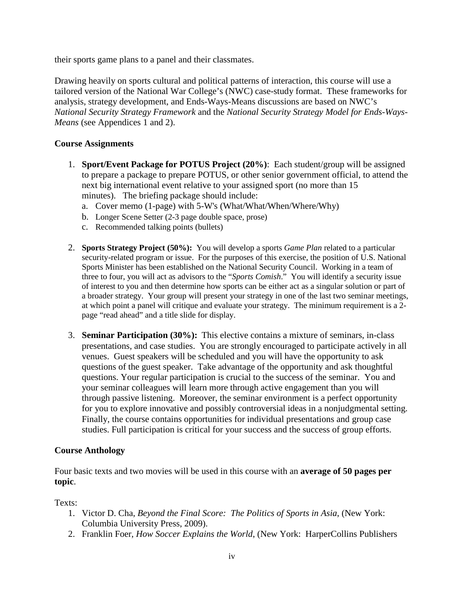their sports game plans to a panel and their classmates.

Drawing heavily on sports cultural and political patterns of interaction, this course will use a tailored version of the National War College's (NWC) case-study format. These frameworks for analysis, strategy development, and Ends-Ways-Means discussions are based on NWC's *National Security Strategy Framework* and the *National Security Strategy Model for Ends-Ways-Means* (see Appendices 1 and 2).

## **Course Assignments**

- 1. **Sport/Event Package for POTUS Project (20%)**: Each student/group will be assigned to prepare a package to prepare POTUS, or other senior government official, to attend the next big international event relative to your assigned sport (no more than 15 minutes). The briefing package should include:
	- a. Cover memo (1-page) with 5-W's (What/What/When/Where/Why)
	- b. Longer Scene Setter (2-3 page double space, prose)
	- c. Recommended talking points (bullets)
- 2. **Sports Strategy Project (50%):** You will develop a sports *Game Plan* related to a particular security-related program or issue. For the purposes of this exercise, the position of U.S. National Sports Minister has been established on the National Security Council. Working in a team of three to four, you will act as advisors to the "*Sports Comish*." You will identify a security issue of interest to you and then determine how sports can be either act as a singular solution or part of a broader strategy. Your group will present your strategy in one of the last two seminar meetings, at which point a panel will critique and evaluate your strategy. The minimum requirement is a 2 page "read ahead" and a title slide for display.
- 3. **Seminar Participation (30%):** This elective contains a mixture of seminars, in-class presentations, and case studies. You are strongly encouraged to participate actively in all venues. Guest speakers will be scheduled and you will have the opportunity to ask questions of the guest speaker. Take advantage of the opportunity and ask thoughtful questions. Your regular participation is crucial to the success of the seminar. You and your seminar colleagues will learn more through active engagement than you will through passive listening. Moreover, the seminar environment is a perfect opportunity for you to explore innovative and possibly controversial ideas in a nonjudgmental setting. Finally, the course contains opportunities for individual presentations and group case studies. Full participation is critical for your success and the success of group efforts.

## **Course Anthology**

Four basic texts and two movies will be used in this course with an **average of 50 pages per topic**.

Texts:

- 1. Victor D. Cha, *Beyond the Final Score: The Politics of Sports in Asia*, (New York: Columbia University Press, 2009).
- 2. Franklin Foer, *How Soccer Explains the World*, (New York: HarperCollins Publishers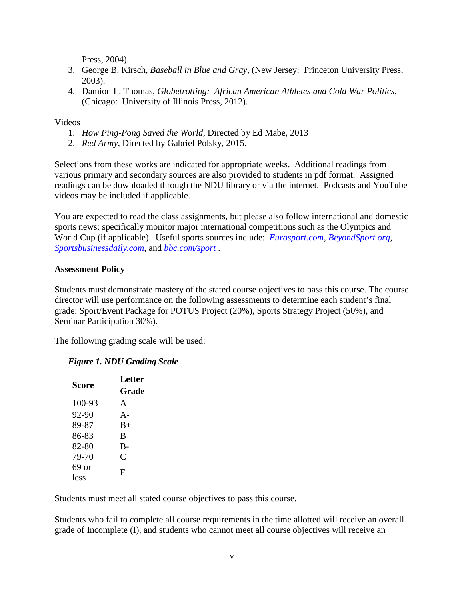Press, 2004).

- 3. George B. Kirsch, *Baseball in Blue and Gray*, (New Jersey: Princeton University Press, 2003).
- 4. Damion L. Thomas, *Globetrotting: African American Athletes and Cold War Politics,* (Chicago: University of Illinois Press, 2012).

## Videos

- 1. *How Ping-Pong Saved the World*, Directed by Ed Mabe, 2013
- 2. *Red Army*, Directed by Gabriel Polsky, 2015.

Selections from these works are indicated for appropriate weeks. Additional readings from various primary and secondary sources are also provided to students in pdf format. Assigned readings can be downloaded through the NDU library or via the internet. Podcasts and YouTube videos may be included if applicable.

You are expected to read the class assignments, but please also follow international and domestic sports news; specifically monitor major international competitions such as the Olympics and World Cup (if applicable). Useful sports sources include: *[Eurosport.com](https://www.eurosport.com/)*, *[BeyondSport.org](http://www.beyondsport.org/)*, *[Sportsbusinessdaily.com](https://www.sportsbusinessdaily.com/Journal.aspx?ana=nav|ribbon|journal)*, and *[bbc.com/sport](http://www.bbc.com/sport)* .

## **Assessment Policy**

Students must demonstrate mastery of the stated course objectives to pass this course. The course director will use performance on the following assessments to determine each student's final grade: Sport/Event Package for POTUS Project (20%), Sports Strategy Project (50%), and Seminar Participation 30%).

The following grading scale will be used:

## *Figure 1. NDU Grading Scale*

| Score       | <b>Letter</b> |  |
|-------------|---------------|--|
|             | Grade         |  |
| 100-93      | A             |  |
| 92-90       | $A -$         |  |
| 89-87       | $B+$          |  |
| 86-83       | B             |  |
| 82-80       | $B-$          |  |
| 79-70       | $\subset$     |  |
| 69 or       | F             |  |
| <i>less</i> |               |  |

Students must meet all stated course objectives to pass this course.

Students who fail to complete all course requirements in the time allotted will receive an overall grade of Incomplete (I), and students who cannot meet all course objectives will receive an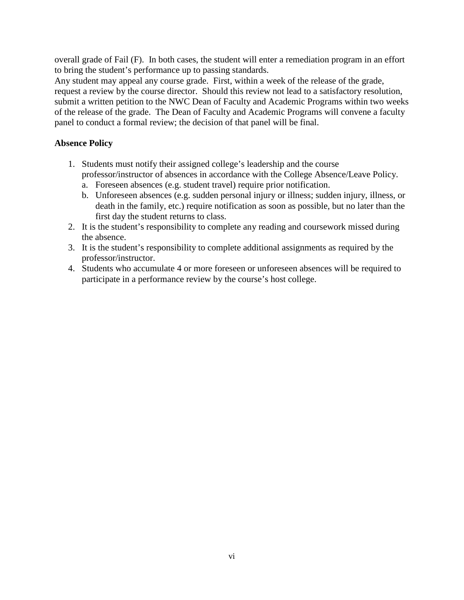overall grade of Fail (F). In both cases, the student will enter a remediation program in an effort to bring the student's performance up to passing standards.

Any student may appeal any course grade. First, within a week of the release of the grade, request a review by the course director. Should this review not lead to a satisfactory resolution, submit a written petition to the NWC Dean of Faculty and Academic Programs within two weeks of the release of the grade. The Dean of Faculty and Academic Programs will convene a faculty panel to conduct a formal review; the decision of that panel will be final.

## **Absence Policy**

- 1. Students must notify their assigned college's leadership and the course professor/instructor of absences in accordance with the College Absence/Leave Policy.
	- a. Foreseen absences (e.g. student travel) require prior notification.
	- b. Unforeseen absences (e.g. sudden personal injury or illness; sudden injury, illness, or death in the family, etc.) require notification as soon as possible, but no later than the first day the student returns to class.
- 2. It is the student's responsibility to complete any reading and coursework missed during the absence.
- 3. It is the student's responsibility to complete additional assignments as required by the professor/instructor.
- 4. Students who accumulate 4 or more foreseen or unforeseen absences will be required to participate in a performance review by the course's host college.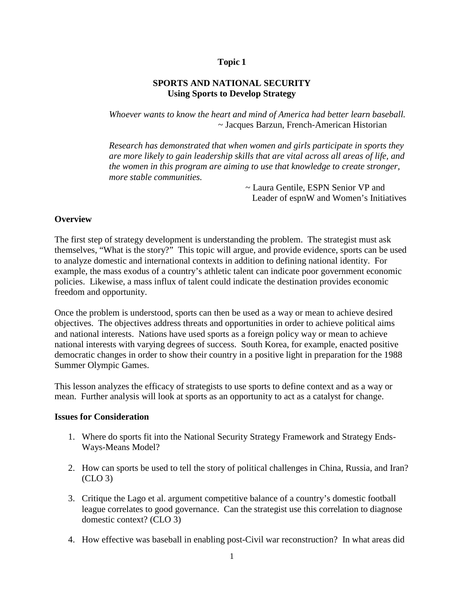## **SPORTS AND NATIONAL SECURITY Using Sports to Develop Strategy**

<span id="page-7-0"></span>*Whoever wants to know the heart and mind of America had better learn baseball.* ~ Jacques Barzun, French-American Historian

*Research has demonstrated that when women and girls participate in sports they are more likely to gain leadership skills that are vital across all areas of life, and the women in this program are aiming to use that knowledge to create stronger, more stable communities.*

> ~ Laura Gentile, ESPN Senior VP and Leader of espnW and Women's Initiatives

#### **Overview**

The first step of strategy development is understanding the problem. The strategist must ask themselves, "What is the story?" This topic will argue, and provide evidence, sports can be used to analyze domestic and international contexts in addition to defining national identity. For example, the mass exodus of a country's athletic talent can indicate poor government economic policies. Likewise, a mass influx of talent could indicate the destination provides economic freedom and opportunity.

Once the problem is understood, sports can then be used as a way or mean to achieve desired objectives. The objectives address threats and opportunities in order to achieve political aims and national interests. Nations have used sports as a foreign policy way or mean to achieve national interests with varying degrees of success. South Korea, for example, enacted positive democratic changes in order to show their country in a positive light in preparation for the 1988 Summer Olympic Games.

This lesson analyzes the efficacy of strategists to use sports to define context and as a way or mean. Further analysis will look at sports as an opportunity to act as a catalyst for change.

#### **Issues for Consideration**

- 1. Where do sports fit into the National Security Strategy Framework and Strategy Ends-Ways-Means Model?
- 2. How can sports be used to tell the story of political challenges in China, Russia, and Iran? (CLO 3)
- 3. Critique the Lago et al. argument competitive balance of a country's domestic football league correlates to good governance. Can the strategist use this correlation to diagnose domestic context? (CLO 3)
- 4. How effective was baseball in enabling post-Civil war reconstruction? In what areas did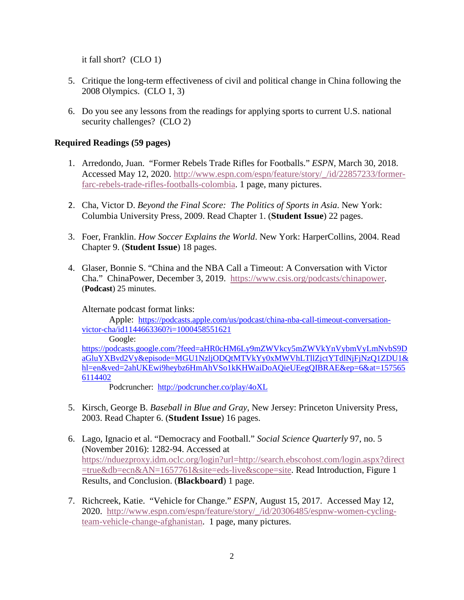it fall short? (CLO 1)

- 5. Critique the long-term effectiveness of civil and political change in China following the 2008 Olympics. (CLO 1, 3)
- 6. Do you see any lessons from the readings for applying sports to current U.S. national security challenges? (CLO 2)

## **Required Readings (59 pages)**

- 1. Arredondo, Juan. "Former Rebels Trade Rifles for Footballs." *ESPN,* March 30, 2018. Accessed May 12, 2020. [http://www.espn.com/espn/feature/story/\\_/id/22857233/former](http://www.espn.com/espn/feature/story/_/id/22857233/former-farc-rebels-trade-rifles-footballs-colombia)[farc-rebels-trade-rifles-footballs-colombia.](http://www.espn.com/espn/feature/story/_/id/22857233/former-farc-rebels-trade-rifles-footballs-colombia) 1 page, many pictures.
- 2. Cha, Victor D. *Beyond the Final Score: The Politics of Sports in Asia*. New York: Columbia University Press, 2009. Read Chapter 1. (**Student Issue**) 22 pages.
- 3. Foer, Franklin. *How Soccer Explains the World*. New York: HarperCollins, 2004. Read Chapter 9. (**Student Issue**) 18 pages.
- 4. Glaser, Bonnie S. "China and the NBA Call a Timeout: A Conversation with Victor Cha." ChinaPower, December 3, 2019. [https://www.csis.org/podcasts/chinapower.](https://www.csis.org/podcasts/chinapower) (**Podcast**) 25 minutes.

Alternate podcast format links:

Apple: [https://podcasts.apple.com/us/podcast/china-nba-call-timeout-conversation](https://podcasts.apple.com/us/podcast/china-nba-call-timeout-conversation-victor-cha/id1144663360?i=1000458551621)[victor-cha/id1144663360?i=1000458551621](https://podcasts.apple.com/us/podcast/china-nba-call-timeout-conversation-victor-cha/id1144663360?i=1000458551621)

Google:

[https://podcasts.google.com/?feed=aHR0cHM6Ly9mZWVkcy5mZWVkYnVybmVyLmNvbS9D](https://podcasts.google.com/?feed=aHR0cHM6Ly9mZWVkcy5mZWVkYnVybmVyLmNvbS9DaGluYXBvd2Vy&episode=MGU1NzljODQtMTVkYy0xMWVhLTllZjctYTdlNjFjNzQ1ZDU1&hl=en&ved=2ahUKEwi9heybz6HmAhVSo1kKHWaiDoAQieUEegQIBRAE&ep=6&at=1575656114402) [aGluYXBvd2Vy&episode=MGU1NzljODQtMTVkYy0xMWVhLTllZjctYTdlNjFjNzQ1ZDU1&](https://podcasts.google.com/?feed=aHR0cHM6Ly9mZWVkcy5mZWVkYnVybmVyLmNvbS9DaGluYXBvd2Vy&episode=MGU1NzljODQtMTVkYy0xMWVhLTllZjctYTdlNjFjNzQ1ZDU1&hl=en&ved=2ahUKEwi9heybz6HmAhVSo1kKHWaiDoAQieUEegQIBRAE&ep=6&at=1575656114402) [hl=en&ved=2ahUKEwi9heybz6HmAhVSo1kKHWaiDoAQieUEegQIBRAE&ep=6&at=157565](https://podcasts.google.com/?feed=aHR0cHM6Ly9mZWVkcy5mZWVkYnVybmVyLmNvbS9DaGluYXBvd2Vy&episode=MGU1NzljODQtMTVkYy0xMWVhLTllZjctYTdlNjFjNzQ1ZDU1&hl=en&ved=2ahUKEwi9heybz6HmAhVSo1kKHWaiDoAQieUEegQIBRAE&ep=6&at=1575656114402) [6114402](https://podcasts.google.com/?feed=aHR0cHM6Ly9mZWVkcy5mZWVkYnVybmVyLmNvbS9DaGluYXBvd2Vy&episode=MGU1NzljODQtMTVkYy0xMWVhLTllZjctYTdlNjFjNzQ1ZDU1&hl=en&ved=2ahUKEwi9heybz6HmAhVSo1kKHWaiDoAQieUEegQIBRAE&ep=6&at=1575656114402)

Podcruncher: <http://podcruncher.co/play/4oXL>

- 5. Kirsch, George B. *Baseball in Blue and Gray*, New Jersey: Princeton University Press, 2003. Read Chapter 6. (**Student Issue**) 16 pages.
- 6. Lago, Ignacio et al. "Democracy and Football." *Social Science Quarterly* 97, no. 5 (November 2016): 1282-94. Accessed at [https://nduezproxy.idm.oclc.org/login?url=http://search.ebscohost.com/login.aspx?direct](https://nduezproxy.idm.oclc.org/login?url=http://search.ebscohost.com/login.aspx?direct=true&db=ecn&AN=1657761&site=eds-live&scope=site) [=true&db=ecn&AN=1657761&site=eds-live&scope=site.](https://nduezproxy.idm.oclc.org/login?url=http://search.ebscohost.com/login.aspx?direct=true&db=ecn&AN=1657761&site=eds-live&scope=site) Read Introduction, Figure 1 Results, and Conclusion. (**Blackboard**) 1 page.
- 7. Richcreek, Katie. "Vehicle for Change." *ESPN*, August 15, 2017. Accessed May 12, 2020. [http://www.espn.com/espn/feature/story/\\_/id/20306485/espnw-women-cycling](http://www.espn.com/espn/feature/story/_/id/20306485/espnw-women-cycling-team-vehicle-change-afghanistan)[team-vehicle-change-afghanistan.](http://www.espn.com/espn/feature/story/_/id/20306485/espnw-women-cycling-team-vehicle-change-afghanistan) 1 page, many pictures.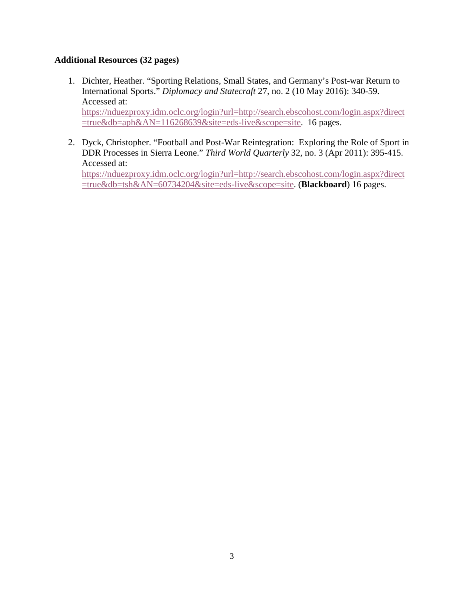## **Additional Resources (32 pages)**

- 1. Dichter, Heather. "Sporting Relations, Small States, and Germany's Post-war Return to International Sports." *Diplomacy and Statecraft* 27, no. 2 (10 May 2016): 340-59. Accessed at: [https://nduezproxy.idm.oclc.org/login?url=http://search.ebscohost.com/login.aspx?direct](https://nduezproxy.idm.oclc.org/login?url=http://search.ebscohost.com/login.aspx?direct=true&db=aph&AN=116268639&site=eds-live&scope=site) [=true&db=aph&AN=116268639&site=eds-live&scope=site.](https://nduezproxy.idm.oclc.org/login?url=http://search.ebscohost.com/login.aspx?direct=true&db=aph&AN=116268639&site=eds-live&scope=site) 16 pages.
- 2. Dyck, Christopher. "Football and Post-War Reintegration: Exploring the Role of Sport in DDR Processes in Sierra Leone." *Third World Quarterly* 32, no. 3 (Apr 2011): 395-415. Accessed at: [https://nduezproxy.idm.oclc.org/login?url=http://search.ebscohost.com/login.aspx?direct](https://nduezproxy.idm.oclc.org/login?url=http://search.ebscohost.com/login.aspx?direct=true&db=tsh&AN=60734204&site=eds-live&scope=site)

[=true&db=tsh&AN=60734204&site=eds-live&scope=site.](https://nduezproxy.idm.oclc.org/login?url=http://search.ebscohost.com/login.aspx?direct=true&db=tsh&AN=60734204&site=eds-live&scope=site) (**Blackboard**) 16 pages.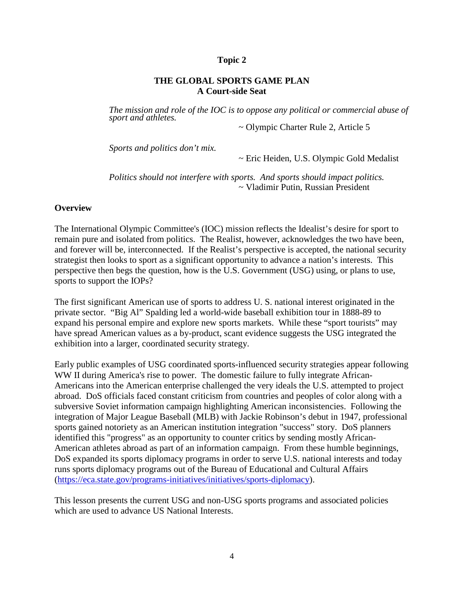#### **THE GLOBAL SPORTS GAME PLAN A Court-side Seat**

<span id="page-10-0"></span>*The mission and role of the IOC is to oppose any political or commercial abuse of sport and athletes.* ~ Olympic Charter Rule 2, Article 5

*Sports and politics don't mix.*

~ Eric Heiden, U.S. Olympic Gold Medalist

*Politics should not interfere with sports. And sports should impact politics.* ~ Vladimir Putin, Russian President

#### **Overview**

The International Olympic Committee's (IOC) mission reflects the Idealist's desire for sport to remain pure and isolated from politics. The Realist, however, acknowledges the two have been, and forever will be, interconnected. If the Realist's perspective is accepted, the national security strategist then looks to sport as a significant opportunity to advance a nation's interests. This perspective then begs the question, how is the U.S. Government (USG) using, or plans to use, sports to support the IOPs?

The first significant American use of sports to address U. S. national interest originated in the private sector. "Big Al" Spalding led a world-wide baseball exhibition tour in 1888-89 to expand his personal empire and explore new sports markets. While these "sport tourists" may have spread American values as a by-product, scant evidence suggests the USG integrated the exhibition into a larger, coordinated security strategy.

Early public examples of USG coordinated sports-influenced security strategies appear following WW II during America's rise to power. The domestic failure to fully integrate African-Americans into the American enterprise challenged the very ideals the U.S. attempted to project abroad. DoS officials faced constant criticism from countries and peoples of color along with a subversive Soviet information campaign highlighting American inconsistencies. Following the integration of Major League Baseball (MLB) with Jackie Robinson's debut in 1947, professional sports gained notoriety as an American institution integration "success" story. DoS planners identified this "progress" as an opportunity to counter critics by sending mostly African-American athletes abroad as part of an information campaign. From these humble beginnings, DoS expanded its sports diplomacy programs in order to serve U.S. national interests and today runs sports diplomacy programs out of the Bureau of Educational and Cultural Affairs [\(https://eca.state.gov/programs-initiatives/initiatives/sports-diplomacy\)](https://eca.state.gov/programs-initiatives/initiatives/sports-diplomacy).

This lesson presents the current USG and non-USG sports programs and associated policies which are used to advance US National Interests.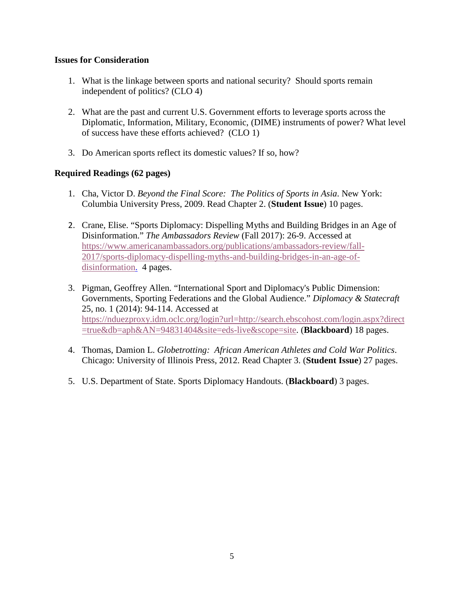## **Issues for Consideration**

- 1. What is the linkage between sports and national security? Should sports remain independent of politics? (CLO 4)
- 2. What are the past and current U.S. Government efforts to leverage sports across the Diplomatic, Information, Military, Economic, (DIME) instruments of power? What level of success have these efforts achieved? (CLO 1)
- 3. Do American sports reflect its domestic values? If so, how?

## **Required Readings (62 pages)**

- 1. Cha, Victor D. *Beyond the Final Score: The Politics of Sports in Asia*. New York: Columbia University Press, 2009. Read Chapter 2. (**Student Issue**) 10 pages.
- 2. Crane, Elise. "Sports Diplomacy: Dispelling Myths and Building Bridges in an Age of Disinformation." *The Ambassadors Review* (Fall 2017): 26-9. Accessed at [https://www.americanambassadors.org/publications/ambassadors-review/fall-](https://www.americanambassadors.org/publications/ambassadors-review/fall-2017/sports-diplomacy-dispelling-myths-and-building-bridges-in-an-age-of-disinformation)[2017/sports-diplomacy-dispelling-myths-and-building-bridges-in-an-age-of](https://www.americanambassadors.org/publications/ambassadors-review/fall-2017/sports-diplomacy-dispelling-myths-and-building-bridges-in-an-age-of-disinformation)[disinformation.](https://www.americanambassadors.org/publications/ambassadors-review/fall-2017/sports-diplomacy-dispelling-myths-and-building-bridges-in-an-age-of-disinformation) 4 pages.
- 3. Pigman, Geoffrey Allen. "International Sport and Diplomacy's Public Dimension: Governments, Sporting Federations and the Global Audience." *Diplomacy & Statecraft* 25, no. 1 (2014): 94-114. Accessed at [https://nduezproxy.idm.oclc.org/login?url=http://search.ebscohost.com/login.aspx?direct](https://nduezproxy.idm.oclc.org/login?url=http://search.ebscohost.com/login.aspx?direct=true&db=aph&AN=94831404&site=eds-live&scope=site) [=true&db=aph&AN=94831404&site=eds-live&scope=site.](https://nduezproxy.idm.oclc.org/login?url=http://search.ebscohost.com/login.aspx?direct=true&db=aph&AN=94831404&site=eds-live&scope=site) (**Blackboard**) 18 pages.
- 4. Thomas, Damion L. *Globetrotting: African American Athletes and Cold War Politics*. Chicago: University of Illinois Press, 2012. Read Chapter 3. (**Student Issue**) 27 pages.
- 5. U.S. Department of State. Sports Diplomacy Handouts. (**Blackboard**) 3 pages.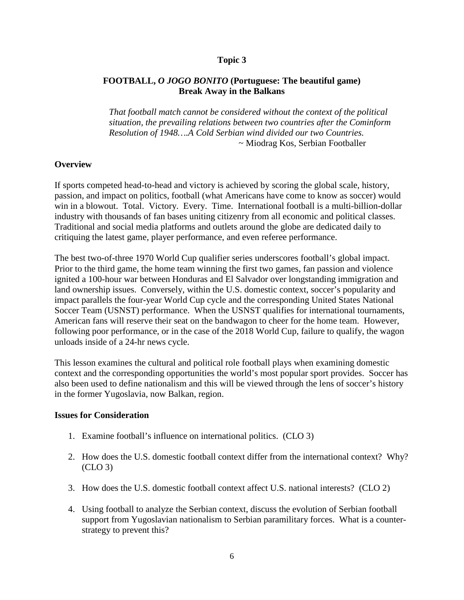## <span id="page-12-0"></span>**FOOTBALL,** *O JOGO BONITO* **(Portuguese: The beautiful game) Break Away in the Balkans**

*[That football match cannot be considered without the context of the political](http://www.brainyquote.com/quotes/quotes/w/willrogers122870.html)  [situation, the prevailing relations between two countries after the Cominform](http://www.brainyquote.com/quotes/quotes/w/willrogers122870.html)  [Resolution of 1948….A Cold Serbian wind divided our two Countries.](http://www.brainyquote.com/quotes/quotes/w/willrogers122870.html)* ~ Miodrag Kos, Serbian Footballer

## **Overview**

If sports competed head-to-head and victory is achieved by scoring the global scale, history, passion, and impact on politics, football (what Americans have come to know as soccer) would win in a blowout. Total. Victory. Every. Time. International football is a multi-billion-dollar industry with thousands of fan bases uniting citizenry from all economic and political classes. Traditional and social media platforms and outlets around the globe are dedicated daily to critiquing the latest game, player performance, and even referee performance.

The best two-of-three 1970 World Cup qualifier series underscores football's global impact. Prior to the third game, the home team winning the first two games, fan passion and violence ignited a 100-hour war between Honduras and El Salvador over longstanding immigration and land ownership issues. Conversely, within the U.S. domestic context, soccer's popularity and impact parallels the four-year World Cup cycle and the corresponding United States National Soccer Team (USNST) performance. When the USNST qualifies for international tournaments, American fans will reserve their seat on the bandwagon to cheer for the home team. However, following poor performance, or in the case of the 2018 World Cup, failure to qualify, the wagon unloads inside of a 24-hr news cycle.

This lesson examines the cultural and political role football plays when examining domestic context and the corresponding opportunities the world's most popular sport provides. Soccer has also been used to define nationalism and this will be viewed through the lens of soccer's history in the former Yugoslavia, now Balkan, region.

#### **Issues for Consideration**

- 1. Examine football's influence on international politics. (CLO 3)
- 2. How does the U.S. domestic football context differ from the international context? Why? (CLO 3)
- 3. How does the U.S. domestic football context affect U.S. national interests? (CLO 2)
- 4. Using football to analyze the Serbian context, discuss the evolution of Serbian football support from Yugoslavian nationalism to Serbian paramilitary forces. What is a counterstrategy to prevent this?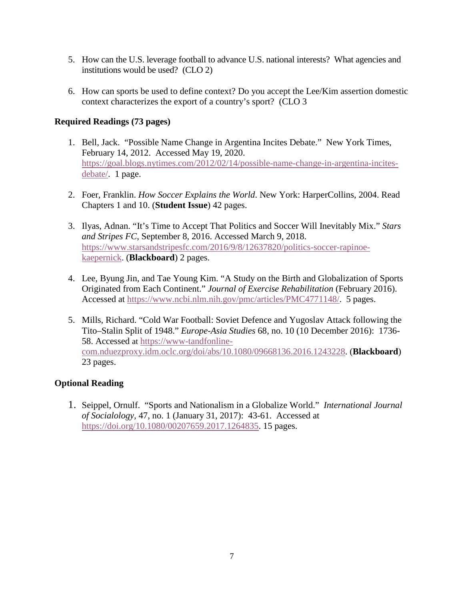- 5. How can the U.S. leverage football to advance U.S. national interests? What agencies and institutions would be used? (CLO 2)
- 6. How can sports be used to define context? Do you accept the Lee/Kim assertion domestic context characterizes the export of a country's sport? (CLO 3

## **Required Readings (73 pages)**

- 1. Bell, Jack. "Possible Name Change in Argentina Incites Debate." New York Times, February 14, 2012. Accessed May 19, 2020. [https://goal.blogs.nytimes.com/2012/02/14/possible-name-change-in-argentina-incites](https://goal.blogs.nytimes.com/2012/02/14/possible-name-change-in-argentina-incites-debate/)[debate/.](https://goal.blogs.nytimes.com/2012/02/14/possible-name-change-in-argentina-incites-debate/) 1 page.
- 2. Foer, Franklin. *How Soccer Explains the World*. New York: HarperCollins, 2004. Read Chapters 1 and 10. (**Student Issue**) 42 pages.
- 3. Ilyas, Adnan. "It's Time to Accept That Politics and Soccer Will Inevitably Mix." *Stars and Stripes FC*, September 8, 2016. Accessed March 9, 2018. [https://www.starsandstripesfc.com/2016/9/8/12637820/politics-soccer-rapinoe](https://www.starsandstripesfc.com/2016/9/8/12637820/politics-soccer-rapinoe-kaepernick)[kaepernick.](https://www.starsandstripesfc.com/2016/9/8/12637820/politics-soccer-rapinoe-kaepernick) (**Blackboard**) 2 pages.
- 4. Lee, Byung Jin, and Tae Young Kim. "A Study on the Birth and Globalization of Sports Originated from Each Continent." *Journal of Exercise Rehabilitation* (February 2016). Accessed at [https://www.ncbi.nlm.nih.gov/pmc/articles/PMC4771148/.](https://www.ncbi.nlm.nih.gov/pmc/articles/PMC4771148/) 5 pages.
- 5. Mills, Richard. "Cold War Football: Soviet Defence and Yugoslav Attack following the Tito–Stalin Split of 1948." *Europe-Asia Studies* 68, no. 10 (10 December 2016): 1736- 58. Accessed at [https://www-tandfonline](https://www-tandfonline-com.nduezproxy.idm.oclc.org/doi/abs/10.1080/09668136.2016.1243228)[com.nduezproxy.idm.oclc.org/doi/abs/10.1080/09668136.2016.1243228.](https://www-tandfonline-com.nduezproxy.idm.oclc.org/doi/abs/10.1080/09668136.2016.1243228) (**Blackboard**) 23 pages.

## **Optional Reading**

1. Seippel, Ornulf. "Sports and Nationalism in a Globalize World." *International Journal of Socialology,* 47, no. 1 (January 31, 2017): 43-61. Accessed at [https://doi.org/10.1080/00207659.2017.1264835.](https://doi.org/10.1080/00207659.2017.1264835)15 pages.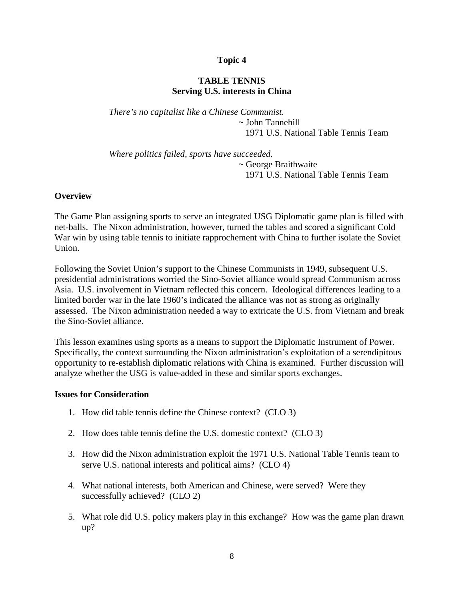## **TABLE TENNIS Serving U.S. interests in China**

<span id="page-14-0"></span>*There's no capitalist [like a Chinese Communist.](http://www.brainyquote.com/quotes/quotes/w/willrogers122870.html)* ~ John Tannehill 1971 U.S. National Table Tennis Team

*[Where politics failed, sports have succeeded.](http://www.brainyquote.com/quotes/quotes/w/willrogers122870.html)* ~ George Braithwaite 1971 U.S. National Table Tennis Team

## **Overview**

The Game Plan assigning sports to serve an integrated USG Diplomatic game plan is filled with net-balls. The Nixon administration, however, turned the tables and scored a significant Cold War win by using table tennis to initiate rapprochement with China to further isolate the Soviet Union.

Following the Soviet Union's support to the Chinese Communists in 1949, subsequent U.S. presidential administrations worried the Sino-Soviet alliance would spread Communism across Asia. U.S. involvement in Vietnam reflected this concern. Ideological differences leading to a limited border war in the late 1960's indicated the alliance was not as strong as originally assessed. The Nixon administration needed a way to extricate the U.S. from Vietnam and break the Sino-Soviet alliance.

This lesson examines using sports as a means to support the Diplomatic Instrument of Power. Specifically, the context surrounding the Nixon administration's exploitation of a serendipitous opportunity to re-establish diplomatic relations with China is examined. Further discussion will analyze whether the USG is value-added in these and similar sports exchanges.

## **Issues for Consideration**

- 1. How did table tennis define the Chinese context? (CLO 3)
- 2. How does table tennis define the U.S. domestic context? (CLO 3)
- 3. How did the Nixon administration exploit the 1971 U.S. National Table Tennis team to serve U.S. national interests and political aims? (CLO 4)
- 4. What national interests, both American and Chinese, were served? Were they successfully achieved? (CLO 2)
- 5. What role did U.S. policy makers play in this exchange? How was the game plan drawn up?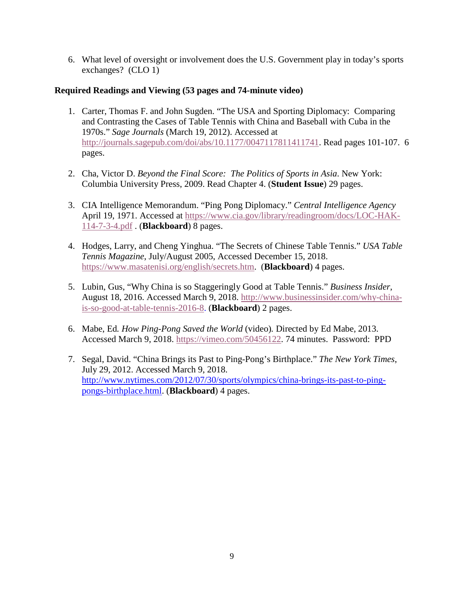6. What level of oversight or involvement does the U.S. Government play in today's sports exchanges? (CLO 1)

## **Required Readings and Viewing (53 pages and 74-minute video)**

- 1. Carter, Thomas F. and John Sugden. "The USA and Sporting Diplomacy: Comparing and Contrasting the Cases of Table Tennis with China and Baseball with Cuba in the 1970s." *Sage Journals* (March 19, 2012). Accessed at [http://journals.sagepub.com/doi/abs/10.1177/0047117811411741.](http://journals.sagepub.com/doi/abs/10.1177/0047117811411741) Read pages 101-107. 6 pages.
- 2. Cha, Victor D. *Beyond the Final Score: The Politics of Sports in Asia*. New York: Columbia University Press, 2009. Read Chapter 4. (**Student Issue**) 29 pages.
- 3. CIA Intelligence Memorandum. "Ping Pong Diplomacy." *Central Intelligence Agency*  April 19, 1971. Accessed at [https://www.cia.gov/library/readingroom/docs/LOC-HAK-](https://www.cia.gov/library/readingroom/docs/LOC-HAK-114-7-3-4.pdf)[114-7-3-4.pdf](https://www.cia.gov/library/readingroom/docs/LOC-HAK-114-7-3-4.pdf) . (**Blackboard**) 8 pages.
- 4. Hodges, Larry, and Cheng Yinghua. "The Secrets of Chinese Table Tennis." *USA Table Tennis Magazine*, July/August 2005, Accessed December 15, 2018. [https://www.masatenisi.org/english/secrets.htm.](https://www.masatenisi.org/english/secrets.htm) (**Blackboard**) 4 pages.
- 5. Lubin, Gus, "Why China is so Staggeringly Good at Table Tennis." *Business Insider*, August 18, 2016. Accessed March 9, 2018. [http://www.businessinsider.com/why-china](http://www.businessinsider.com/why-china-is-so-good-at-table-tennis-2016-8)[is-so-good-at-table-tennis-2016-8.](http://www.businessinsider.com/why-china-is-so-good-at-table-tennis-2016-8) (**Blackboard**) 2 pages.
- 6. Mabe, Ed*. How Ping-Pong Saved the World* (video)*.* Directed by Ed Mabe, 2013. Accessed March 9, 2018. [https://vimeo.com/50456122.](https://vimeo.com/50456122) 74 minutes. Password: PPD
- 7. Segal, David. "China Brings its Past to Ping-Pong's Birthplace." *The New York Times*, July 29, 2012. Accessed March 9, 2018. [http://www.nytimes.com/2012/07/30/sports/olympics/china-brings-its-past-to-ping](http://www.nytimes.com/2012/07/30/sports/olympics/china-brings-its-past-to-ping-pongs-birthplace.html)[pongs-birthplace.html.](http://www.nytimes.com/2012/07/30/sports/olympics/china-brings-its-past-to-ping-pongs-birthplace.html) (**Blackboard**) 4 pages.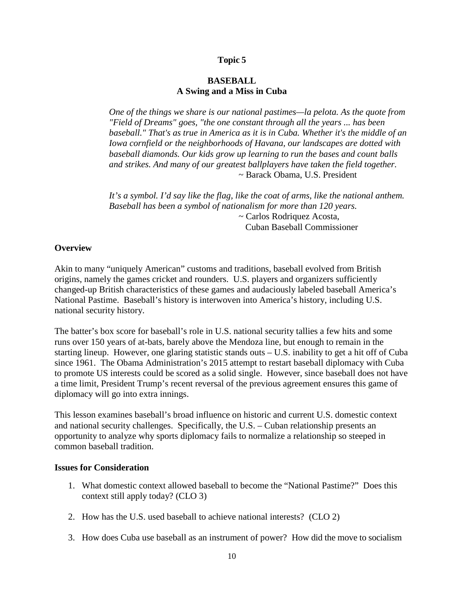#### **BASEBALL A Swing and a Miss in Cuba**

<span id="page-16-0"></span>*One of the things we share is our national pastimes—la pelota. As the quote from "Field of Dreams" goes, "the one constant through all the years ... has been baseball." That's as true in America as it is in Cuba. Whether it's the middle of an Iowa cornfield or the neighborhoods of Havana, our landscapes are dotted with baseball diamonds. Our kids grow up learning to run the bases and count balls and strikes. And many of our greatest ballplayers have taken the field together.* ~ Barack Obama, U.S. President

*It's a symbol. I'd say like the flag, like the coat of arms, like the national anthem. Baseball has been a symbol of nationalism for more than 120 years.* ~ Carlos Rodriquez Acosta, Cuban Baseball Commissioner

#### **Overview**

Akin to many "uniquely American" customs and traditions, baseball evolved from British origins, namely the games cricket and rounders. U.S. players and organizers sufficiently changed-up British characteristics of these games and audaciously labeled baseball America's National Pastime. Baseball's history is interwoven into America's history, including U.S. national security history.

The batter's box score for baseball's role in U.S. national security tallies a few hits and some runs over 150 years of at-bats, barely above the Mendoza line, but enough to remain in the starting lineup. However, one glaring statistic stands outs – U.S. inability to get a hit off of Cuba since 1961. The Obama Administration's 2015 attempt to restart baseball diplomacy with Cuba to promote US interests could be scored as a solid single. However, since baseball does not have a time limit, President Trump's recent reversal of the previous agreement ensures this game of diplomacy will go into extra innings.

This lesson examines baseball's broad influence on historic and current U.S. domestic context and national security challenges. Specifically, the U.S. – Cuban relationship presents an opportunity to analyze why sports diplomacy fails to normalize a relationship so steeped in common baseball tradition.

#### **Issues for Consideration**

- 1. What domestic context allowed baseball to become the "National Pastime?" Does this context still apply today? (CLO 3)
- 2. How has the U.S. used baseball to achieve national interests? (CLO 2)
- 3. How does Cuba use baseball as an instrument of power? How did the move to socialism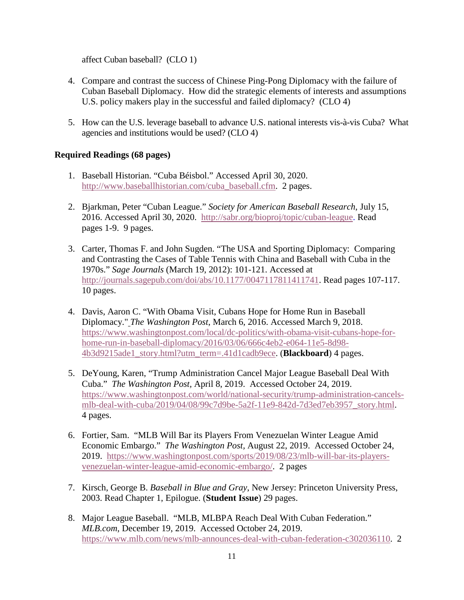affect Cuban baseball? (CLO 1)

- 4. Compare and contrast the success of Chinese Ping-Pong Diplomacy with the failure of Cuban Baseball Diplomacy. How did the strategic elements of interests and assumptions U.S. policy makers play in the successful and failed diplomacy? (CLO 4)
- 5. How can the U.S. leverage baseball to advance U.S. national interests vis-à-vis Cuba? What agencies and institutions would be used? (CLO 4)

## **Required Readings (68 pages)**

- 1. Baseball Historian. "Cuba Béisbol." Accessed April 30, 2020. [http://www.baseballhistorian.com/cuba\\_baseball.cfm.](http://www.baseballhistorian.com/cuba_baseball.cfm) 2 pages.
- 2. Bjarkman, Peter "Cuban League." *Society for American Baseball Research*, July 15, 2016. Accessed April 30, 2020. [http://sabr.org/bioproj/topic/cuban-league.](http://sabr.org/bioproj/topic/cuban-league) Read pages 1-9. 9 pages.
- 3. Carter, Thomas F. and John Sugden. "The USA and Sporting Diplomacy: Comparing and Contrasting the Cases of Table Tennis with China and Baseball with Cuba in the 1970s." *Sage Journals* (March 19, 2012): 101-121. Accessed at [http://journals.sagepub.com/doi/abs/10.1177/0047117811411741.](http://journals.sagepub.com/doi/abs/10.1177/0047117811411741) Read pages 107-117. 10 pages.
- 4. Davis, Aaron C. "With Obama Visit, Cubans Hope for Home Run in Baseball Diplomacy." *The Washington Post*, March 6, 2016. Accessed March 9, 2018. [https://www.washingtonpost.com/local/dc-politics/with-obama-visit-cubans-hope-for](https://www.washingtonpost.com/local/dc-politics/with-obama-visit-cubans-hope-for-home-run-in-baseball-diplomacy/2016/03/06/666c4eb2-e064-11e5-8d98-4b3d9215ade1_story.html?utm_term=.41d1cadb9ece%20)[home-run-in-baseball-diplomacy/2016/03/06/666c4eb2-e064-11e5-8d98-](https://www.washingtonpost.com/local/dc-politics/with-obama-visit-cubans-hope-for-home-run-in-baseball-diplomacy/2016/03/06/666c4eb2-e064-11e5-8d98-4b3d9215ade1_story.html?utm_term=.41d1cadb9ece%20) [4b3d9215ade1\\_story.html?utm\\_term=.41d1cadb9ece.](https://www.washingtonpost.com/local/dc-politics/with-obama-visit-cubans-hope-for-home-run-in-baseball-diplomacy/2016/03/06/666c4eb2-e064-11e5-8d98-4b3d9215ade1_story.html?utm_term=.41d1cadb9ece%20) (**Blackboard**) 4 pages.
- 5. DeYoung, Karen, "Trump Administration Cancel Major League Baseball Deal With Cuba." *The Washington Post,* April 8, 2019. Accessed October 24, 2019. [https://www.washingtonpost.com/world/national-security/trump-administration-cancels](https://www.washingtonpost.com/world/national-security/trump-administration-cancels-mlb-deal-with-cuba/2019/04/08/99c7d9be-5a2f-11e9-842d-7d3ed7eb3957_story.html)[mlb-deal-with-cuba/2019/04/08/99c7d9be-5a2f-11e9-842d-7d3ed7eb3957\\_story.html.](https://www.washingtonpost.com/world/national-security/trump-administration-cancels-mlb-deal-with-cuba/2019/04/08/99c7d9be-5a2f-11e9-842d-7d3ed7eb3957_story.html) 4 pages.
- 6. Fortier, Sam. "MLB Will Bar its Players From Venezuelan Winter League Amid Economic Embargo." *The Washington Post,* August 22, 2019. Accessed October 24, 2019. [https://www.washingtonpost.com/sports/2019/08/23/mlb-will-bar-its-players](https://www.washingtonpost.com/sports/2019/08/23/mlb-will-bar-its-players-venezuelan-winter-league-amid-economic-embargo/)[venezuelan-winter-league-amid-economic-embargo/.](https://www.washingtonpost.com/sports/2019/08/23/mlb-will-bar-its-players-venezuelan-winter-league-amid-economic-embargo/) 2 pages
- 7. Kirsch, George B. *Baseball in Blue and Gray*, New Jersey: Princeton University Press, 2003. Read Chapter 1, Epilogue. (**Student Issue**) 29 pages.
- 8. Major League Baseball. "MLB, MLBPA Reach Deal With Cuban Federation." *MLB.com,* December 19, 2019. Accessed October 24, 2019. [https://www.mlb.com/news/mlb-announces-deal-with-cuban-federation-c302036110.](https://www.mlb.com/news/mlb-announces-deal-with-cuban-federation-c302036110) 2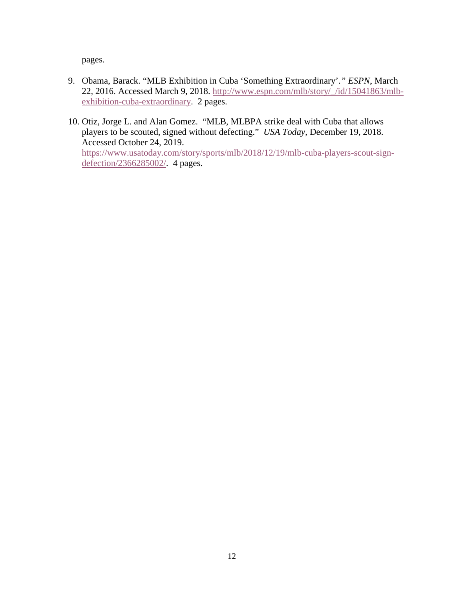pages.

- 9. Obama, Barack. "MLB Exhibition in Cuba 'Something Extraordinary'.*" ESPN*, March 22, 2016. Accessed March 9, 2018. [http://www.espn.com/mlb/story/\\_/id/15041863/mlb](http://www.espn.com/mlb/story/_/id/15041863/mlb-exhibition-cuba-extraordinary)[exhibition-cuba-extraordinary.](http://www.espn.com/mlb/story/_/id/15041863/mlb-exhibition-cuba-extraordinary) 2 pages.
- 10. Otiz, Jorge L. and Alan Gomez. "MLB, MLBPA strike deal with Cuba that allows players to be scouted, signed without defecting." *USA Today,* December 19, 2018. Accessed October 24, 2019. [https://www.usatoday.com/story/sports/mlb/2018/12/19/mlb-cuba-players-scout-sign](https://www.usatoday.com/story/sports/mlb/2018/12/19/mlb-cuba-players-scout-sign-defection/2366285002/)[defection/2366285002/.](https://www.usatoday.com/story/sports/mlb/2018/12/19/mlb-cuba-players-scout-sign-defection/2366285002/) 4 pages.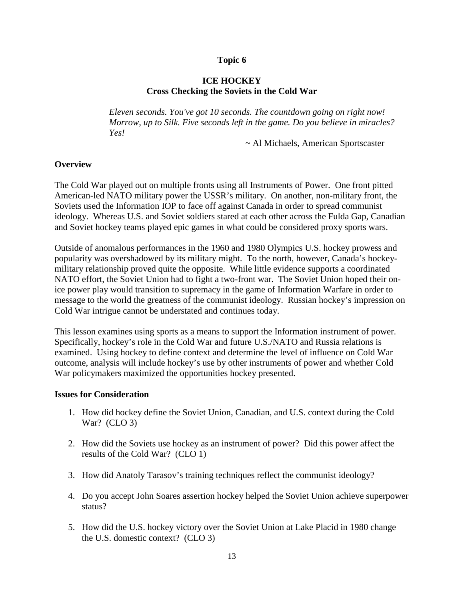#### **ICE HOCKEY Cross Checking the Soviets in the Cold War**

<span id="page-19-0"></span>*Eleven seconds. You've got 10 seconds. The countdown going on right now! Morrow, up to Silk. Five seconds left in the game. Do you believe in miracles? Yes!*

~ Al Michaels, American Sportscaster

#### **Overview**

The Cold War played out on multiple fronts using all Instruments of Power. One front pitted American-led NATO military power the USSR's military. On another, non-military front, the Soviets used the Information IOP to face off against Canada in order to spread communist ideology. Whereas U.S. and Soviet soldiers stared at each other across the Fulda Gap, Canadian and Soviet hockey teams played epic games in what could be considered proxy sports wars.

Outside of anomalous performances in the 1960 and 1980 Olympics U.S. hockey prowess and popularity was overshadowed by its military might. To the north, however, Canada's hockeymilitary relationship proved quite the opposite. While little evidence supports a coordinated NATO effort, the Soviet Union had to fight a two-front war. The Soviet Union hoped their onice power play would transition to supremacy in the game of Information Warfare in order to message to the world the greatness of the communist ideology. Russian hockey's impression on Cold War intrigue cannot be understated and continues today.

This lesson examines using sports as a means to support the Information instrument of power. Specifically, hockey's role in the Cold War and future U.S./NATO and Russia relations is examined. Using hockey to define context and determine the level of influence on Cold War outcome, analysis will include hockey's use by other instruments of power and whether Cold War policymakers maximized the opportunities hockey presented.

#### **Issues for Consideration**

- 1. How did hockey define the Soviet Union, Canadian, and U.S. context during the Cold War? (CLO 3)
- 2. How did the Soviets use hockey as an instrument of power? Did this power affect the results of the Cold War? (CLO 1)
- 3. How did Anatoly Tarasov's training techniques reflect the communist ideology?
- 4. Do you accept John Soares assertion hockey helped the Soviet Union achieve superpower status?
- 5. How did the U.S. hockey victory over the Soviet Union at Lake Placid in 1980 change the U.S. domestic context? (CLO 3)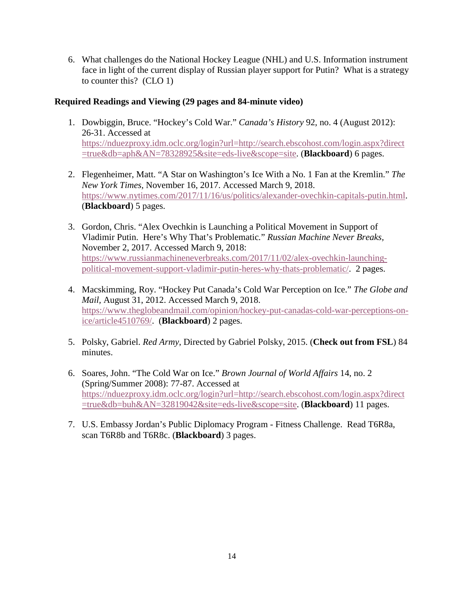6. What challenges do the National Hockey League (NHL) and U.S. Information instrument face in light of the current display of Russian player support for Putin? What is a strategy to counter this? (CLO 1)

## **Required Readings and Viewing (29 pages and 84-minute video)**

- 1. Dowbiggin, Bruce. "Hockey's Cold War." *Canada's History* 92, no. 4 (August 2012): 26-31. Accessed at [https://nduezproxy.idm.oclc.org/login?url=http://search.ebscohost.com/login.aspx?direct](https://nduezproxy.idm.oclc.org/login?url=http://search.ebscohost.com/login.aspx?direct=true&db=aph&AN=78328925&site=eds-live&scope=site) [=true&db=aph&AN=78328925&site=eds-live&scope=site.](https://nduezproxy.idm.oclc.org/login?url=http://search.ebscohost.com/login.aspx?direct=true&db=aph&AN=78328925&site=eds-live&scope=site) (**Blackboard**) 6 pages.
- 2. Flegenheimer, Matt. "A Star on Washington's Ice With a No. 1 Fan at the Kremlin." *The New York Times,* November 16, 2017. Accessed March 9, 2018. [https://www.nytimes.com/2017/11/16/us/politics/alexander-ovechkin-capitals-putin.html.](https://www.nytimes.com/2017/11/16/us/politics/alexander-ovechkin-capitals-putin.html) (**Blackboard**) 5 pages.
- 3. Gordon, Chris. "Alex Ovechkin is Launching a Political Movement in Support of Vladimir Putin. Here's Why That's Problematic*.*" *Russian Machine Never Breaks,* November 2, 2017. Accessed March 9, 2018: [https://www.russianmachineneverbreaks.com/2017/11/02/alex-ovechkin-launching](https://www.russianmachineneverbreaks.com/2017/11/02/alex-ovechkin-launching-political-movement-support-vladimir-putin-heres-why-thats-problematic/)[political-movement-support-vladimir-putin-heres-why-thats-problematic/.](https://www.russianmachineneverbreaks.com/2017/11/02/alex-ovechkin-launching-political-movement-support-vladimir-putin-heres-why-thats-problematic/) 2 pages.
- 4. Macskimming, Roy. "Hockey Put Canada's Cold War Perception on Ice." *The Globe and Mail,* August 31, 2012. Accessed March 9, 2018. [https://www.theglobeandmail.com/opinion/hockey-put-canadas-cold-war-perceptions-on](https://www.theglobeandmail.com/opinion/hockey-put-canadas-cold-war-perceptions-on-ice/article4510769/)[ice/article4510769/.](https://www.theglobeandmail.com/opinion/hockey-put-canadas-cold-war-perceptions-on-ice/article4510769/) (**Blackboard**) 2 pages.
- 5. Polsky, Gabriel. *Red Army*, Directed by Gabriel Polsky, 2015. (**Check out from FSL**) 84 minutes.
- 6. Soares, John. "The Cold War on Ice." *Brown Journal of World Affairs* 14, no. 2 (Spring/Summer 2008): 77-87. Accessed at [https://nduezproxy.idm.oclc.org/login?url=http://search.ebscohost.com/login.aspx?direct](https://nduezproxy.idm.oclc.org/login?url=http://search.ebscohost.com/login.aspx?direct=true&db=buh&AN=32819042&site=eds-live&scope=site) [=true&db=buh&AN=32819042&site=eds-live&scope=site.](https://nduezproxy.idm.oclc.org/login?url=http://search.ebscohost.com/login.aspx?direct=true&db=buh&AN=32819042&site=eds-live&scope=site) (**Blackboard**) 11 pages.
- 7. U.S. Embassy Jordan's Public Diplomacy Program Fitness Challenge. Read T6R8a, scan T6R8b and T6R8c. (**Blackboard**) 3 pages.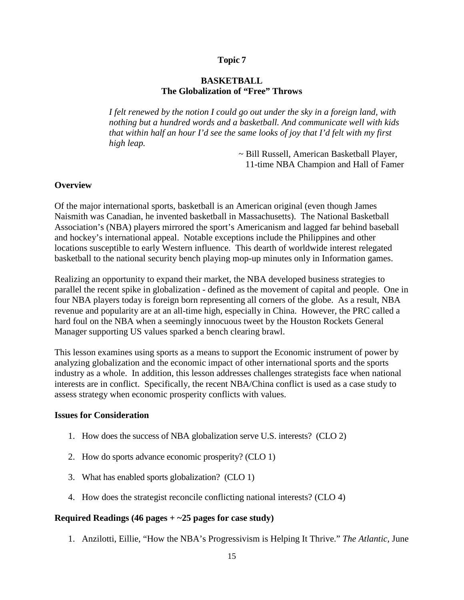#### **BASKETBALL The Globalization of "Free" Throws**

<span id="page-21-0"></span>*I felt renewed by the notion I could go out under the sky in a foreign land, with nothing but a hundred words and a basketball. And communicate well with kids that within half an hour I'd see the same looks of joy that I'd felt with my first high leap.*

> ~ Bill Russell, American Basketball Player, 11-time NBA Champion and Hall of Famer

#### **Overview**

Of the major international sports, basketball is an American original (even though James Naismith was Canadian, he invented basketball in Massachusetts). The National Basketball Association's (NBA) players mirrored the sport's Americanism and lagged far behind baseball and hockey's international appeal. Notable exceptions include the Philippines and other locations susceptible to early Western influence. This dearth of worldwide interest relegated basketball to the national security bench playing mop-up minutes only in Information games.

Realizing an opportunity to expand their market, the NBA developed business strategies to parallel the recent spike in globalization - defined as the movement of capital and people. One in four NBA players today is foreign born representing all corners of the globe. As a result, NBA revenue and popularity are at an all-time high, especially in China. However, the PRC called a hard foul on the NBA when a seemingly innocuous tweet by the Houston Rockets General Manager supporting US values sparked a bench clearing brawl.

This lesson examines using sports as a means to support the Economic instrument of power by analyzing globalization and the economic impact of other international sports and the sports industry as a whole. In addition, this lesson addresses challenges strategists face when national interests are in conflict. Specifically, the recent NBA/China conflict is used as a case study to assess strategy when economic prosperity conflicts with values.

#### **Issues for Consideration**

- 1. How does the success of NBA globalization serve U.S. interests? (CLO 2)
- 2. How do sports advance economic prosperity? (CLO 1)
- 3. What has enabled sports globalization? (CLO 1)
- 4. How does the strategist reconcile conflicting national interests? (CLO 4)

#### **Required Readings (46 pages + ~25 pages for case study)**

1. Anzilotti, Eillie, "How the NBA's Progressivism is Helping It Thrive." *The Atlantic,* June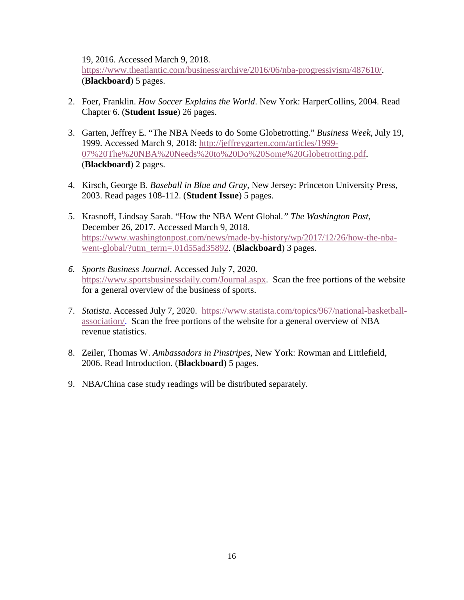19, 2016. Accessed March 9, 2018.

[https://www.theatlantic.com/business/archive/2016/06/nba-progressivism/487610/.](https://www.theatlantic.com/business/archive/2016/06/nba-progressivism/487610/) (**Blackboard**) 5 pages.

- 2. Foer, Franklin. *How Soccer Explains the World*. New York: HarperCollins, 2004. Read Chapter 6. (**Student Issue**) 26 pages.
- 3. Garten, Jeffrey E. "The NBA Needs to do Some Globetrotting." *Business Week,* July 19, 1999. Accessed March 9, 2018: [http://jeffreygarten.com/articles/1999-](http://jeffreygarten.com/articles/1999-07%20The%20NBA%20Needs%20to%20Do%20Some%20Globetrotting.pdf) [07%20The%20NBA%20Needs%20to%20Do%20Some%20Globetrotting.pdf.](http://jeffreygarten.com/articles/1999-07%20The%20NBA%20Needs%20to%20Do%20Some%20Globetrotting.pdf) (**Blackboard**) 2 pages.
- 4. Kirsch, George B. *Baseball in Blue and Gray*, New Jersey: Princeton University Press, 2003. Read pages 108-112. (**Student Issue**) 5 pages.
- 5. Krasnoff, Lindsay Sarah. "How the NBA Went Global*." The Washington Post,* December 26, 2017. Accessed March 9, 2018. [https://www.washingtonpost.com/news/made-by-history/wp/2017/12/26/how-the-nba](https://www.washingtonpost.com/news/made-by-history/wp/2017/12/26/how-the-nba-went-global/?utm_term=.01d55ad35892)[went-global/?utm\\_term=.01d55ad35892.](https://www.washingtonpost.com/news/made-by-history/wp/2017/12/26/how-the-nba-went-global/?utm_term=.01d55ad35892) (**Blackboard**) 3 pages.
- *6. Sports Business Journal*. Accessed July 7, 2020. [https://www.sportsbusinessdaily.com/Journal.aspx.](https://www.sportsbusinessdaily.com/Journal.aspx) Scan the free portions of the website for a general overview of the business of sports.
- 7. *Statista*. Accessed July 7, 2020. [https://www.statista.com/topics/967/national-basketball](https://www.statista.com/topics/967/national-basketball-association/)[association/.](https://www.statista.com/topics/967/national-basketball-association/) Scan the free portions of the website for a general overview of NBA revenue statistics.
- 8. Zeiler, Thomas W. *Ambassadors in Pinstripes,* New York: Rowman and Littlefield, 2006. Read Introduction. (**Blackboard**) 5 pages.
- 9. NBA/China case study readings will be distributed separately.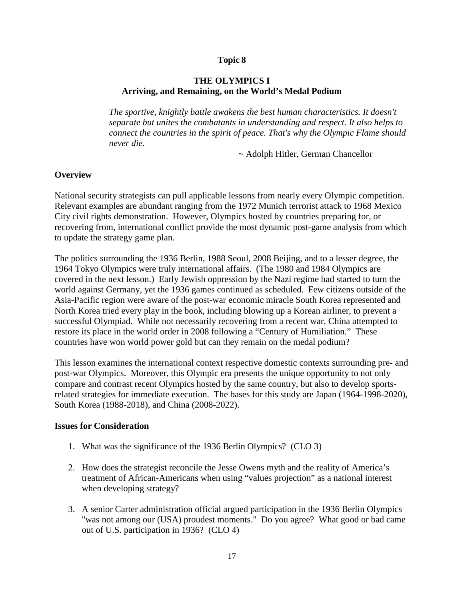## <span id="page-23-0"></span>**THE OLYMPICS I Arriving, and Remaining, on the World's Medal Podium**

*The sportive, knightly battle awakens the best human characteristics. It doesn't separate but unites the combatants in understanding and respect. It also helps to connect the countries in the spirit of peace. That's why the Olympic Flame should never die.*

~ Adolph Hitler, German Chancellor

## **Overview**

National security strategists can pull applicable lessons from nearly every Olympic competition. Relevant examples are abundant ranging from the 1972 Munich terrorist attack to 1968 Mexico City civil rights demonstration. However, Olympics hosted by countries preparing for, or recovering from, international conflict provide the most dynamic post-game analysis from which to update the strategy game plan.

The politics surrounding the 1936 Berlin, 1988 Seoul, 2008 Beijing, and to a lesser degree, the 1964 Tokyo Olympics were truly international affairs. (The 1980 and 1984 Olympics are covered in the next lesson.) Early Jewish oppression by the Nazi regime had started to turn the world against Germany, yet the 1936 games continued as scheduled. Few citizens outside of the Asia-Pacific region were aware of the post-war economic miracle South Korea represented and North Korea tried every play in the book, including blowing up a Korean airliner, to prevent a successful Olympiad. While not necessarily recovering from a recent war, China attempted to restore its place in the world order in 2008 following a "Century of Humiliation." These countries have won world power gold but can they remain on the medal podium?

This lesson examines the international context respective domestic contexts surrounding pre- and post-war Olympics. Moreover, this Olympic era presents the unique opportunity to not only compare and contrast recent Olympics hosted by the same country, but also to develop sportsrelated strategies for immediate execution. The bases for this study are Japan (1964-1998-2020), South Korea (1988-2018), and China (2008-2022).

#### **Issues for Consideration**

- 1. What was the significance of the 1936 Berlin Olympics? (CLO 3)
- 2. How does the strategist reconcile the Jesse Owens myth and the reality of America's treatment of African-Americans when using "values projection" as a national interest when developing strategy?
- 3. A senior Carter administration official argued participation in the 1936 Berlin Olympics "was not among our (USA) proudest moments." Do you agree? What good or bad came out of U.S. participation in 1936? (CLO 4)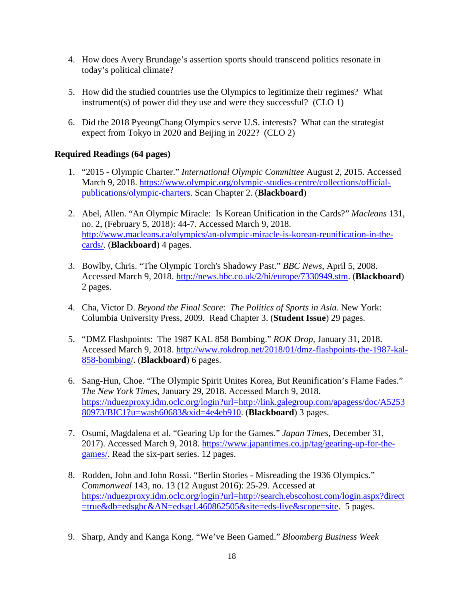- 4. How does Avery Brundage's assertion sports should transcend politics resonate in today's political climate?
- 5. How did the studied countries use the Olympics to legitimize their regimes? What instrument(s) of power did they use and were they successful? (CLO 1)
- 6. Did the 2018 PyeongChang Olympics serve U.S. interests? What can the strategist expect from Tokyo in 2020 and Beijing in 2022? (CLO 2)

## **Required Readings (64 pages)**

- 1. "2015 Olympic Charter." *International Olympic Committee* August 2, 2015. Accessed March 9, 2018. [https://www.olympic.org/olympic-studies-centre/collections/official](https://www.olympic.org/olympic-studies-centre/collections/official-publications/olympic-charters)[publications/olympic-charters.](https://www.olympic.org/olympic-studies-centre/collections/official-publications/olympic-charters) Scan Chapter 2. (**Blackboard**)
- 2. Abel, Allen. "An Olympic Miracle: Is Korean Unification in the Cards?" *Macleans* 131, no. 2, (February 5, 2018): 44-7. Accessed March 9, 2018. [http://www.macleans.ca/olympics/an-olympic-miracle-is-korean-reunification-in-the](http://www.macleans.ca/olympics/an-olympic-miracle-is-korean-reunification-in-the-cards/)[cards/.](http://www.macleans.ca/olympics/an-olympic-miracle-is-korean-reunification-in-the-cards/) (**Blackboard**) 4 pages.
- 3. Bowlby, Chris. "The Olympic Torch's Shadowy Past." *BBC News,* April 5, 2008. Accessed March 9, 2018. [http://news.bbc.co.uk/2/hi/europe/7330949.stm.](http://news.bbc.co.uk/2/hi/europe/7330949.stm) (**Blackboard**) 2 pages.
- 4. Cha, Victor D. *Beyond the Final Score*: *The Politics of Sports in Asia*. New York: Columbia University Press, 2009. Read Chapter 3. (**Student Issue**) 29 pages.
- 5. "DMZ Flashpoints: The 1987 KAL 858 Bombing." *ROK Drop,* January 31, 2018. Accessed March 9, 2018. [http://www.rokdrop.net/2018/01/dmz-flashpoints-the-1987-kal-](http://www.rokdrop.net/2018/01/dmz-flashpoints-the-1987-kal-858-bombing/)[858-bombing/.](http://www.rokdrop.net/2018/01/dmz-flashpoints-the-1987-kal-858-bombing/) (**Blackboard**) 6 pages.
- 6. Sang-Hun, Choe. "The Olympic Spirit Unites Korea, But Reunification's Flame Fades." *The New York Times*, January 29, 2018. Accessed March 9, 2018. [https://nduezproxy.idm.oclc.org/login?url=http://link.galegroup.com/apagess/doc/A5253](https://nduezproxy.idm.oclc.org/login?url=http://link.galegroup.com/apps/doc/A525380973/BIC1?u=wash60683&xid=4e4eb910) [80973/BIC1?u=wash60683&xid=4e4eb910.](https://nduezproxy.idm.oclc.org/login?url=http://link.galegroup.com/apps/doc/A525380973/BIC1?u=wash60683&xid=4e4eb910) (**Blackboard**) 3 pages.
- 7. Osumi, Magdalena et al. "Gearing Up for the Games." *Japan Times,* December 31, 2017). Accessed March 9, 2018. [https://www.japantimes.co.jp/tag/gearing-up-for-the](https://www.japantimes.co.jp/tag/gearing-up-for-the-games/)[games/.](https://www.japantimes.co.jp/tag/gearing-up-for-the-games/) Read the six-part series. 12 pages.
- 8. Rodden, John and John Rossi. "Berlin Stories Misreading the 1936 Olympics." *Commonweal* 143, no. 13 (12 August 2016): 25-29. Accessed at [https://nduezproxy.idm.oclc.org/login?url=http://search.ebscohost.com/login.aspx?direct](https://nduezproxy.idm.oclc.org/login?url=http://search.ebscohost.com/login.aspx?direct=true&db=edsgbc&AN=edsgcl.460862505&site=eds-live&scope=site) [=true&db=edsgbc&AN=edsgcl.460862505&site=eds-live&scope=site.](https://nduezproxy.idm.oclc.org/login?url=http://search.ebscohost.com/login.aspx?direct=true&db=edsgbc&AN=edsgcl.460862505&site=eds-live&scope=site) 5 pages.
- 9. Sharp, Andy and Kanga Kong. "We've Been Gamed." *Bloomberg Business Week*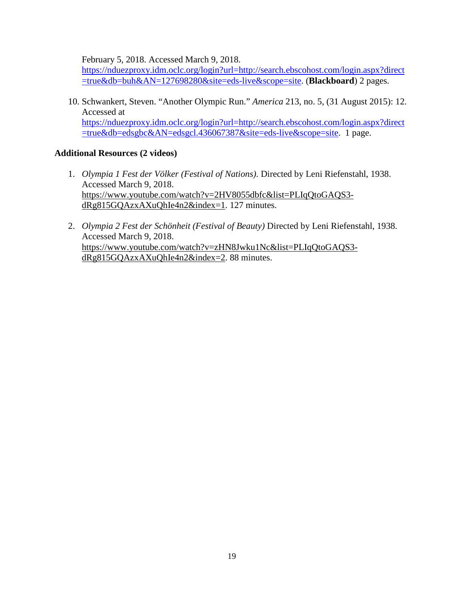February 5, 2018. Accessed March 9, 2018.

[https://nduezproxy.idm.oclc.org/login?url=http://search.ebscohost.com/login.aspx?direct](https://nduezproxy.idm.oclc.org/login?url=http://search.ebscohost.com/login.aspx?direct=true&db=buh&AN=127698280&site=eds-live&scope=site) [=true&db=buh&AN=127698280&site=eds-live&scope=site.](https://nduezproxy.idm.oclc.org/login?url=http://search.ebscohost.com/login.aspx?direct=true&db=buh&AN=127698280&site=eds-live&scope=site) (**Blackboard**) 2 pages.

10. Schwankert, Steven. "Another Olympic Run." *America* 213, no. 5, (31 August 2015): 12. Accessed at [https://nduezproxy.idm.oclc.org/login?url=http://search.ebscohost.com/login.aspx?direct](https://nduezproxy.idm.oclc.org/login?url=http://search.ebscohost.com/login.aspx?direct=true&db=edsgbc&AN=edsgcl.436067387&site=eds-live&scope=site) [=true&db=edsgbc&AN=edsgcl.436067387&site=eds-live&scope=site.](https://nduezproxy.idm.oclc.org/login?url=http://search.ebscohost.com/login.aspx?direct=true&db=edsgbc&AN=edsgcl.436067387&site=eds-live&scope=site) 1 page.

## **Additional Resources (2 videos)**

- 1. *Olympia 1 Fest der Völker (Festival of Nations)*. Directed by Leni Riefenstahl, 1938. Accessed March 9, 2018. [https://www.youtube.com/watch?v=2HV8055dbfc&list=PLIqQtoGAQS3](https://www.youtube.com/watch?v=2HV8055dbfc&list=PLIqQtoGAQS3-dRg815GQAzxAXuQhIe4n2&index=1) [dRg815GQAzxAXuQhIe4n2&index=1.](https://www.youtube.com/watch?v=2HV8055dbfc&list=PLIqQtoGAQS3-dRg815GQAzxAXuQhIe4n2&index=1) 127 minutes.
- 2. *Olympia 2 Fest der Schönheit (Festival of Beauty)* Directed by Leni Riefenstahl, 1938. Accessed March 9, 2018. [https://www.youtube.com/watch?v=zHN8Jwku1Nc&list=PLIqQtoGAQS3](https://www.youtube.com/watch?v=zHN8Jwku1Nc&list=PLIqQtoGAQS3-dRg815GQAzxAXuQhIe4n2&index=2) [dRg815GQAzxAXuQhIe4n2&index=2.](https://www.youtube.com/watch?v=zHN8Jwku1Nc&list=PLIqQtoGAQS3-dRg815GQAzxAXuQhIe4n2&index=2) 88 minutes.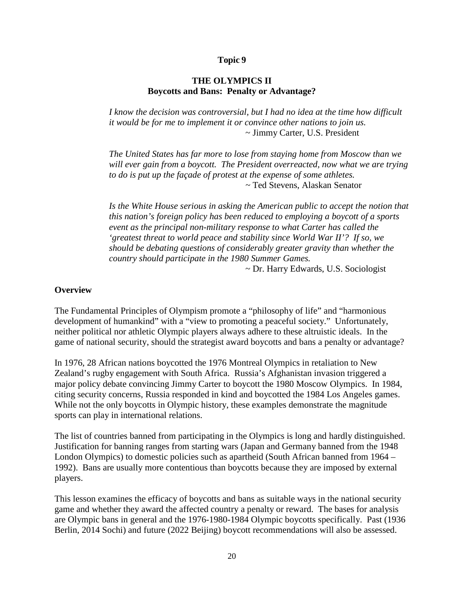#### **THE OLYMPICS II Boycotts and Bans: Penalty or Advantage?**

<span id="page-26-0"></span>*I know the decision was controversial, but I had no idea at the time how difficult it would be for me to implement it or convince other nations to join us.* ~ Jimmy Carter, U.S. President

*The United States has far more to lose from staying home from Moscow than we will ever gain from a boycott. The President overreacted, now what we are trying to do is put up the façade of protest at the expense of some athletes. ~* Ted Stevens, Alaskan Senator

*Is the White House serious in asking the American public to accept the notion that this nation's foreign policy has been reduced to employing a boycott of a sports event as the principal non-military response to what Carter has called the 'greatest threat to world peace and stability since World War II'? If so, we should be debating questions of considerably greater gravity than whether the country should participate in the 1980 Summer Games.* 

~ Dr. Harry Edwards, U.S. Sociologist

#### **Overview**

The Fundamental Principles of Olympism promote a "philosophy of life" and "harmonious development of humankind" with a "view to promoting a peaceful society." Unfortunately, neither political nor athletic Olympic players always adhere to these altruistic ideals. In the game of national security, should the strategist award boycotts and bans a penalty or advantage?

In 1976, 28 African nations boycotted the 1976 Montreal Olympics in retaliation to New Zealand's rugby engagement with South Africa. Russia's Afghanistan invasion triggered a major policy debate convincing Jimmy Carter to boycott the 1980 Moscow Olympics. In 1984, citing security concerns, Russia responded in kind and boycotted the 1984 Los Angeles games. While not the only boycotts in Olympic history, these examples demonstrate the magnitude sports can play in international relations.

The list of countries banned from participating in the Olympics is long and hardly distinguished. Justification for banning ranges from starting wars (Japan and Germany banned from the 1948 London Olympics) to domestic policies such as apartheid (South African banned from 1964 – 1992). Bans are usually more contentious than boycotts because they are imposed by external players.

This lesson examines the efficacy of boycotts and bans as suitable ways in the national security game and whether they award the affected country a penalty or reward. The bases for analysis are Olympic bans in general and the 1976-1980-1984 Olympic boycotts specifically. Past (1936 Berlin, 2014 Sochi) and future (2022 Beijing) boycott recommendations will also be assessed.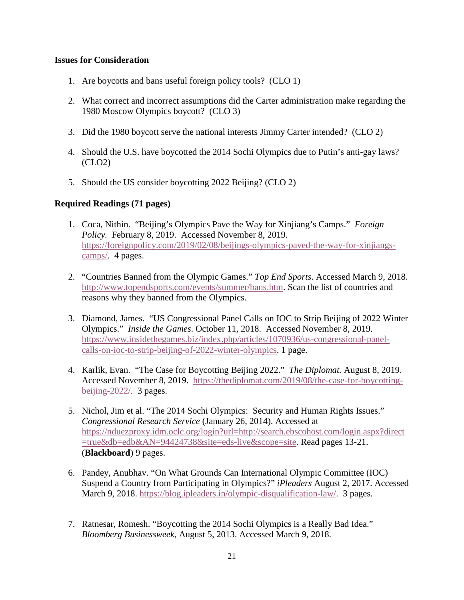## **Issues for Consideration**

- 1. Are boycotts and bans useful foreign policy tools? (CLO 1)
- 2. What correct and incorrect assumptions did the Carter administration make regarding the 1980 Moscow Olympics boycott? (CLO 3)
- 3. Did the 1980 boycott serve the national interests Jimmy Carter intended? (CLO 2)
- 4. Should the U.S. have boycotted the 2014 Sochi Olympics due to Putin's anti-gay laws? (CLO2)
- 5. Should the US consider boycotting 2022 Beijing? (CLO 2)

## **Required Readings (71 pages)**

- 1. Coca, Nithin. "Beijing's Olympics Pave the Way for Xinjiang's Camps." *Foreign Policy.* February 8, 2019. Accessed November 8, 2019. [https://foreignpolicy.com/2019/02/08/beijings-olympics-paved-the-way-for-xinjiangs](https://foreignpolicy.com/2019/02/08/beijings-olympics-paved-the-way-for-xinjiangs-camps/)[camps/.](https://foreignpolicy.com/2019/02/08/beijings-olympics-paved-the-way-for-xinjiangs-camps/) 4 pages.
- 2. "Countries Banned from the Olympic Games." *Top End Sports*. Accessed March 9, 2018. [http://www.topendsports.com/events/summer/bans.htm.](http://www.topendsports.com/events/summer/bans.htm) Scan the list of countries and reasons why they banned from the Olympics.
- 3. Diamond, James. "US Congressional Panel Calls on IOC to Strip Beijing of 2022 Winter Olympics." *Inside the Games*. October 11, 2018. Accessed November 8, 2019. [https://www.insidethegames.biz/index.php/articles/1070936/us-congressional-panel](https://www.insidethegames.biz/index.php/articles/1070936/us-congressional-panel-calls-on-ioc-to-strip-beijing-of-2022-winter-olympics)[calls-on-ioc-to-strip-beijing-of-2022-winter-olympics.](https://www.insidethegames.biz/index.php/articles/1070936/us-congressional-panel-calls-on-ioc-to-strip-beijing-of-2022-winter-olympics) 1 page.
- 4. Karlik, Evan. "The Case for Boycotting Beijing 2022." *The Diplomat.* August 8, 2019. Accessed November 8, 2019. [https://thediplomat.com/2019/08/the-case-for-boycotting](https://thediplomat.com/2019/08/the-case-for-boycotting-beijing-2022/)[beijing-2022/.](https://thediplomat.com/2019/08/the-case-for-boycotting-beijing-2022/) 3 pages.
- 5. Nichol, Jim et al. "The 2014 Sochi Olympics: Security and Human Rights Issues." *Congressional Research Service* (January 26, 2014). Accessed at [https://nduezproxy.idm.oclc.org/login?url=http://search.ebscohost.com/login.aspx?direct](https://nduezproxy.idm.oclc.org/login?url=http://search.ebscohost.com/login.aspx?direct=true&db=edb&AN=94424738&site=eds-live&scope=site) [=true&db=edb&AN=94424738&site=eds-live&scope=site.](https://nduezproxy.idm.oclc.org/login?url=http://search.ebscohost.com/login.aspx?direct=true&db=edb&AN=94424738&site=eds-live&scope=site) Read pages 13-21. (**Blackboard**) 9 pages.
- 6. Pandey, Anubhav. "On What Grounds Can International Olympic Committee (IOC) Suspend a Country from Participating in Olympics?" *iPleaders* August 2, 2017. Accessed March 9, 2018. [https://blog.ipleaders.in/olympic-disqualification-law/.](https://blog.ipleaders.in/olympic-disqualification-law/) 3 pages.
- 7. Ratnesar, Romesh. "Boycotting the 2014 Sochi Olympics is a Really Bad Idea." *Bloomberg Businessweek*, August 5, 2013. Accessed March 9, 2018.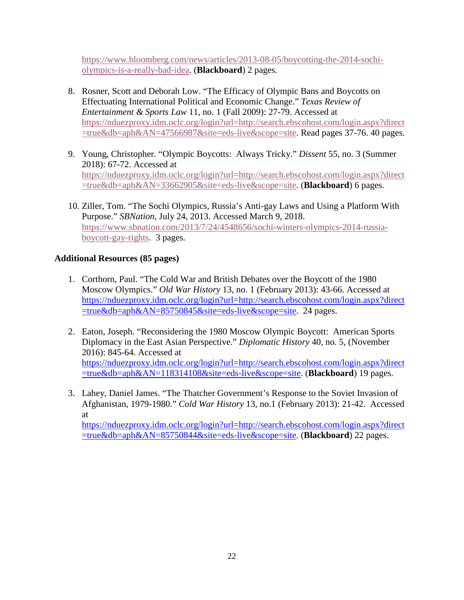[https://www.bloomberg.com/news/articles/2013-08-05/boycotting-the-2014-sochi](https://www.bloomberg.com/news/articles/2013-08-05/boycotting-the-2014-sochi-olympics-is-a-really-bad-idea)[olympics-is-a-really-bad-idea.](https://www.bloomberg.com/news/articles/2013-08-05/boycotting-the-2014-sochi-olympics-is-a-really-bad-idea) (**Blackboard**) 2 pages.

- 8. Rosner, Scott and Deborah Low. "The Efficacy of Olympic Bans and Boycotts on Effectuating International Political and Economic Change." *Texas Review of Entertainment & Sports Law* 11, no. 1 (Fall 2009): 27-79. Accessed at [https://nduezproxy.idm.oclc.org/login?url=http://search.ebscohost.com/login.aspx?direct](https://nduezproxy.idm.oclc.org/login?url=http://search.ebscohost.com/login.aspx?direct=true&db=aph&AN=47566987&site=eds-live&scope=site) [=true&db=aph&AN=47566987&site=eds-live&scope=site.](https://nduezproxy.idm.oclc.org/login?url=http://search.ebscohost.com/login.aspx?direct=true&db=aph&AN=47566987&site=eds-live&scope=site) Read pages 37-76. 40 pages.
- 9. Young, Christopher. "Olympic Boycotts: Always Tricky." *Dissent* 55, no. 3 (Summer 2018): 67-72. Accessed at [https://nduezproxy.idm.oclc.org/login?url=http://search.ebscohost.com/login.aspx?direct](https://nduezproxy.idm.oclc.org/login?url=http://search.ebscohost.com/login.aspx?direct=true&db=aph&AN=33662905&site=eds-live&scope=site) [=true&db=aph&AN=33662905&site=eds-live&scope=site.](https://nduezproxy.idm.oclc.org/login?url=http://search.ebscohost.com/login.aspx?direct=true&db=aph&AN=33662905&site=eds-live&scope=site) (**Blackboard**) 6 pages.
- 10. Ziller, Tom. "The Sochi Olympics, Russia's Anti-gay Laws and Using a Platform With Purpose." *SBNation*, July 24, 2013. Accessed March 9, 2018. [https://www.sbnation.com/2013/7/24/4548656/sochi-winters-olympics-2014-russia](https://www.sbnation.com/2013/7/24/4548656/sochi-winters-olympics-2014-russia-boycott-gay-rights)[boycott-gay-rights.](https://www.sbnation.com/2013/7/24/4548656/sochi-winters-olympics-2014-russia-boycott-gay-rights) 3 pages.

## **Additional Resources (85 pages)**

- 1. Corthorn, Paul. "The Cold War and British Debates over the Boycott of the 1980 Moscow Olympics." *Old War History* 13, no. 1 (February 2013): 43-66. Accessed at [https://nduezproxy.idm.oclc.org/login?url=http://search.ebscohost.com/login.aspx?direct](https://nduezproxy.idm.oclc.org/login?url=http://search.ebscohost.com/login.aspx?direct=true&db=aph&AN=85750845&site=eds-live&scope=site) [=true&db=aph&AN=85750845&site=eds-live&scope=site.](https://nduezproxy.idm.oclc.org/login?url=http://search.ebscohost.com/login.aspx?direct=true&db=aph&AN=85750845&site=eds-live&scope=site) 24 pages.
- 2. Eaton, Joseph. "Reconsidering the 1980 Moscow Olympic Boycott: American Sports Diplomacy in the East Asian Perspective." *Diplomatic History* 40, no. 5, (November 2016): 845-64. Accessed at [https://nduezproxy.idm.oclc.org/login?url=http://search.ebscohost.com/login.aspx?direct](https://nduezproxy.idm.oclc.org/login?url=http://search.ebscohost.com/login.aspx?direct=true&db=aph&AN=118314108&site=eds-live&scope=site) [=true&db=aph&AN=118314108&site=eds-live&scope=site.](https://nduezproxy.idm.oclc.org/login?url=http://search.ebscohost.com/login.aspx?direct=true&db=aph&AN=118314108&site=eds-live&scope=site) (**Blackboard**) 19 pages.
- 3. Lahey, Daniel James. "The Thatcher Government's Response to the Soviet Invasion of Afghanistan, 1979-1980." *Cold War History* 13, no.1 (February 2013): 21-42. Accessed at

[https://nduezproxy.idm.oclc.org/login?url=http://search.ebscohost.com/login.aspx?direct](https://nduezproxy.idm.oclc.org/login?url=http://search.ebscohost.com/login.aspx?direct=true&db=aph&AN=85750844&site=eds-live&scope=site) [=true&db=aph&AN=85750844&site=eds-live&scope=site.](https://nduezproxy.idm.oclc.org/login?url=http://search.ebscohost.com/login.aspx?direct=true&db=aph&AN=85750844&site=eds-live&scope=site) (**Blackboard**) 22 pages.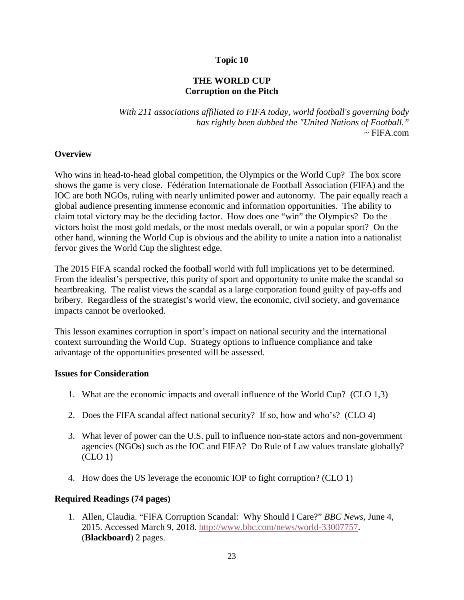## **THE WORLD CUP Corruption on the Pitch**

<span id="page-29-0"></span>*With 211 associations affiliated to FIFA today, world football's governing body has rightly been dubbed the "United Nations of Football."*  $\sim$  FIFA.com

## **Overview**

Who wins in head-to-head global competition, the Olympics or the World Cup? The box score shows the game is very close. Fédération Internationale de Football Association (FIFA) and the IOC are both NGOs, ruling with nearly unlimited power and autonomy. The pair equally reach a global audience presenting immense economic and information opportunities. The ability to claim total victory may be the deciding factor. How does one "win" the Olympics? Do the victors hoist the most gold medals, or the most medals overall, or win a popular sport? On the other hand, winning the World Cup is obvious and the ability to unite a nation into a nationalist fervor gives the World Cup the slightest edge.

The 2015 FIFA scandal rocked the football world with full implications yet to be determined. From the idealist's perspective, this purity of sport and opportunity to unite make the scandal so heartbreaking. The realist views the scandal as a large corporation found guilty of pay-offs and bribery. Regardless of the strategist's world view, the economic, civil society, and governance impacts cannot be overlooked.

This lesson examines corruption in sport's impact on national security and the international context surrounding the World Cup. Strategy options to influence compliance and take advantage of the opportunities presented will be assessed.

## **Issues for Consideration**

- 1. What are the economic impacts and overall influence of the World Cup? (CLO 1,3)
- 2. Does the FIFA scandal affect national security? If so, how and who's? (CLO 4)
- 3. What lever of power can the U.S. pull to influence non-state actors and non-government agencies (NGOs) such as the IOC and FIFA? Do Rule of Law values translate globally? (CLO 1)
- 4. How does the US leverage the economic IOP to fight corruption? (CLO 1)

## **Required Readings (74 pages)**

1. Allen, Claudia. "FIFA Corruption Scandal: Why Should I Care?" *BBC News,* June 4, 2015. Accessed March 9, 2018. [http://www.bbc.com/news/world-33007757.](http://www.bbc.com/news/world-33007757) (**Blackboard**) 2 pages.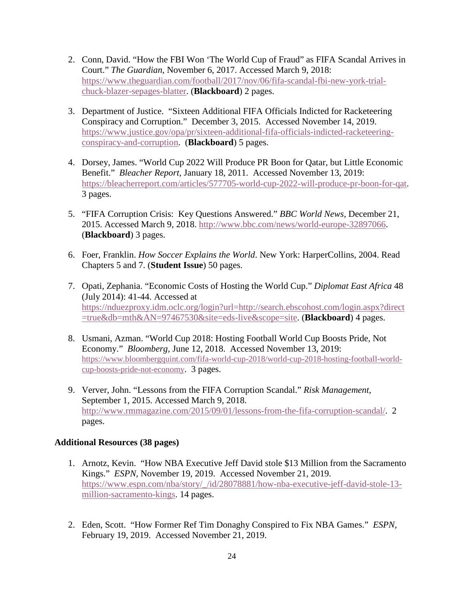- 2. Conn, David. "How the FBI Won 'The World Cup of Fraud" as FIFA Scandal Arrives in Court." *The Guardian,* November 6, 2017. Accessed March 9, 2018: [https://www.theguardian.com/football/2017/nov/06/fifa-scandal-fbi-new-york-trial](https://www.theguardian.com/football/2017/nov/06/fifa-scandal-fbi-new-york-trial-chuck-blazer-sepp-blatter)[chuck-blazer-sepages-blatter.](https://www.theguardian.com/football/2017/nov/06/fifa-scandal-fbi-new-york-trial-chuck-blazer-sepp-blatter) (**Blackboard**) 2 pages.
- 3. Department of Justice. "Sixteen Additional FIFA Officials Indicted for Racketeering Conspiracy and Corruption." December 3, 2015. Accessed November 14, 2019. [https://www.justice.gov/opa/pr/sixteen-additional-fifa-officials-indicted-racketeering](https://www.justice.gov/opa/pr/sixteen-additional-fifa-officials-indicted-racketeering-conspiracy-and-corruption)[conspiracy-and-corruption.](https://www.justice.gov/opa/pr/sixteen-additional-fifa-officials-indicted-racketeering-conspiracy-and-corruption) (**Blackboard**) 5 pages.
- 4. Dorsey, James. "World Cup 2022 Will Produce PR Boon for Qatar, but Little Economic Benefit." *Bleacher Report,* January 18, 2011. Accessed November 13, 2019: [https://bleacherreport.com/articles/577705-world-cup-2022-will-produce-pr-boon-for-qat.](https://bleacherreport.com/articles/577705-world-cup-2022-will-produce-pr-boon-for-qat) 3 pages.
- 5. "FIFA Corruption Crisis: Key Questions Answered." *BBC World News,* December 21, 2015. Accessed March 9, 2018. [http://www.bbc.com/news/world-europe-32897066.](http://www.bbc.com/news/world-europe-32897066) (**Blackboard**) 3 pages.
- 6. Foer, Franklin. *How Soccer Explains the World*. New York: HarperCollins, 2004. Read Chapters 5 and 7. (**Student Issue**) 50 pages.
- 7. Opati, Zephania. "Economic Costs of Hosting the World Cup." *Diplomat East Africa* 48 (July 2014): 41-44. Accessed at [https://nduezproxy.idm.oclc.org/login?url=http://search.ebscohost.com/login.aspx?direct](https://nduezproxy.idm.oclc.org/login?url=http://search.ebscohost.com/login.aspx?direct=true&db=mth&AN=97467530&site=eds-live&scope=site) [=true&db=mth&AN=97467530&site=eds-live&scope=site.](https://nduezproxy.idm.oclc.org/login?url=http://search.ebscohost.com/login.aspx?direct=true&db=mth&AN=97467530&site=eds-live&scope=site) (**Blackboard**) 4 pages.
- 8. Usmani, Azman. "World Cup 2018: Hosting Football World Cup Boosts Pride, Not Economy." *Bloomberg,* June 12, 2018. Accessed November 13, 2019: [https://www.bloombergquint.com/fifa-world-cup-2018/world-cup-2018-hosting-football-world](https://www.bloombergquint.com/fifa-world-cup-2018/world-cup-2018-hosting-football-world-cup-boosts-pride-not-economy)[cup-boosts-pride-not-economy.](https://www.bloombergquint.com/fifa-world-cup-2018/world-cup-2018-hosting-football-world-cup-boosts-pride-not-economy) 3 pages.
- 9. Verver, John. "Lessons from the FIFA Corruption Scandal." *Risk Management,* September 1, 2015. Accessed March 9, 2018. [http://www.rmmagazine.com/2015/09/01/lessons-from-the-fifa-corruption-scandal/.](http://www.rmmagazine.com/2015/09/01/lessons-from-the-fifa-corruption-scandal/) 2 pages.

## **Additional Resources (38 pages)**

- 1. Arnotz, Kevin. "How NBA Executive Jeff David stole \$13 Million from the Sacramento Kings." *ESPN,* November 19, 2019. Accessed November 21, 2019. [https://www.espn.com/nba/story/\\_/id/28078881/how-nba-executive-jeff-david-stole-13](https://www.espn.com/nba/story/_/id/28078881/how-nba-executive-jeff-david-stole-13-million-sacramento-kings) [million-sacramento-kings.](https://www.espn.com/nba/story/_/id/28078881/how-nba-executive-jeff-david-stole-13-million-sacramento-kings) 14 pages.
- 2. Eden, Scott. "How Former Ref Tim Donaghy Conspired to Fix NBA Games." *ESPN,*  February 19, 2019. Accessed November 21, 2019.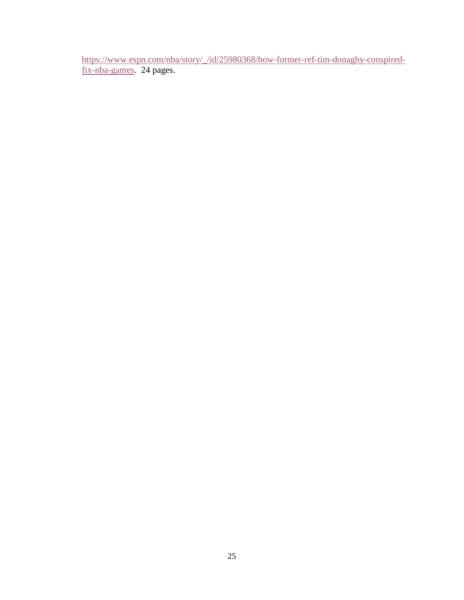[https://www.espn.com/nba/story/\\_/id/25980368/how-former-ref-tim-donaghy-conspired](https://www.espn.com/nba/story/_/id/25980368/how-former-ref-tim-donaghy-conspired-fix-nba-games)[fix-nba-games.](https://www.espn.com/nba/story/_/id/25980368/how-former-ref-tim-donaghy-conspired-fix-nba-games) 24 pages.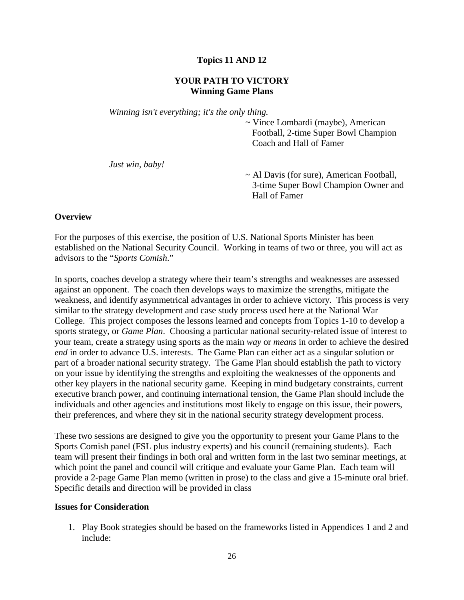## **Topics 11 AND 12**

## **YOUR PATH TO VICTORY Winning Game Plans**

*Winning isn't everything; it's the only thing.*

~ Vince Lombardi (maybe), American Football, 2-time Super Bowl Champion Coach and Hall of Famer

*Just win, baby!*

~ Al Davis (for sure), American Football, 3-time Super Bowl Champion Owner and Hall of Famer

#### **Overview**

For the purposes of this exercise, the position of U.S. National Sports Minister has been established on the National Security Council. Working in teams of two or three, you will act as advisors to the "*Sports Comish*."

In sports, coaches develop a strategy where their team's strengths and weaknesses are assessed against an opponent. The coach then develops ways to maximize the strengths, mitigate the weakness, and identify asymmetrical advantages in order to achieve victory. This process is very similar to the strategy development and case study process used here at the National War College. This project composes the lessons learned and concepts from Topics 1-10 to develop a sports strategy, or *Game Plan*. Choosing a particular national security-related issue of interest to your team, create a strategy using sports as the main *way* or *means* in order to achieve the desired *end* in order to advance U.S. interests. The Game Plan can either act as a singular solution or part of a broader national security strategy. The Game Plan should establish the path to victory on your issue by identifying the strengths and exploiting the weaknesses of the opponents and other key players in the national security game. Keeping in mind budgetary constraints, current executive branch power, and continuing international tension, the Game Plan should include the individuals and other agencies and institutions most likely to engage on this issue, their powers, their preferences, and where they sit in the national security strategy development process.

These two sessions are designed to give you the opportunity to present your Game Plans to the Sports Comish panel (FSL plus industry experts) and his council (remaining students). Each team will present their findings in both oral and written form in the last two seminar meetings, at which point the panel and council will critique and evaluate your Game Plan. Each team will provide a 2-page Game Plan memo (written in prose) to the class and give a 15-minute oral brief. Specific details and direction will be provided in class

#### **Issues for Consideration**

1. Play Book strategies should be based on the frameworks listed in Appendices 1 and 2 and include: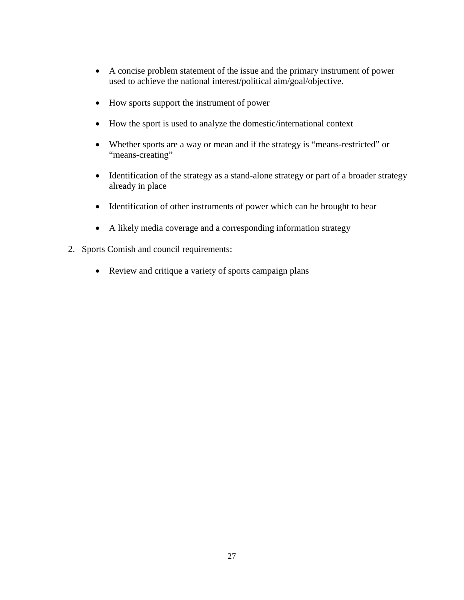- A concise problem statement of the issue and the primary instrument of power used to achieve the national interest/political aim/goal/objective.
- How sports support the instrument of power
- How the sport is used to analyze the domestic/international context
- Whether sports are a way or mean and if the strategy is "means-restricted" or "means-creating"
- Identification of the strategy as a stand-alone strategy or part of a broader strategy already in place
- Identification of other instruments of power which can be brought to bear
- A likely media coverage and a corresponding information strategy
- 2. Sports Comish and council requirements:
	- Review and critique a variety of sports campaign plans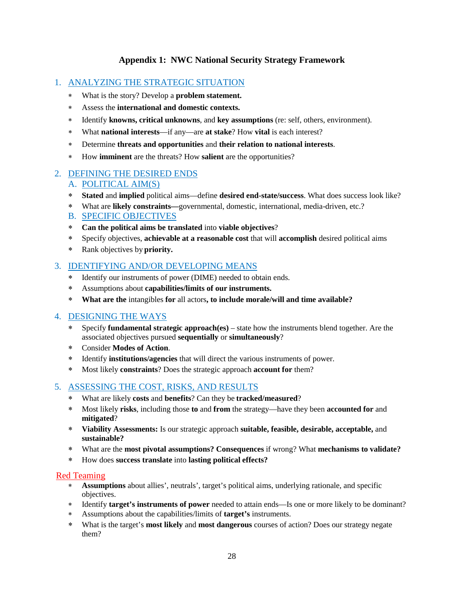## **Appendix 1: NWC National Security Strategy Framework**

## <span id="page-34-0"></span>1. ANALYZING THE STRATEGIC SITUATION

- ∗ What is the story? Develop a **problem statement.**
- ∗ Assess the **international and domestic contexts.**
- ∗ Identify **knowns, critical unknowns**, and **key assumptions** (re: self, others, environment).
- ∗ What **national interests**—if any—are **at stake**? How **vital** is each interest?
- ∗ Determine **threats and opportunities** and **their relation to national interests**.
- ∗ How **imminent** are the threats? How **salient** are the opportunities?

## 2. DEFINING THE DESIRED ENDS

- A. POLITICAL AIM(S)
- ∗ **Stated** and **implied** political aims—define **desired end-state/success**. What does success look like?
- ∗ What are **likely constraints—**governmental, domestic, international, media-driven, etc.?
- B. SPECIFIC OBJECTIVES
- ∗ **Can the political aims be translated** into **viable objectives**?
- ∗ Specify objectives, **achievable at a reasonable cost** that will **accomplish** desired political aims
- ∗ Rank objectives by **priority.**

## 3. IDENTIFYING AND/OR DEVELOPING MEANS

- ∗ Identify our instruments of power (DIME) needed to obtain ends.
- ∗ Assumptions about **capabilities/limits of our instruments.**
- ∗ **What are the** intangibles **for** all actors**, to include morale/will and time available?**

## 4. DESIGNING THE WAYS

- ∗ Specify **fundamental strategic approach(es)** state how the instruments blend together. Are the associated objectives pursued **sequentially** or **simultaneously**?
- ∗ Consider **Modes of Action**.
- ∗ Identify **institutions/agencies** that will direct the various instruments of power.
- ∗ Most likely **constraints**? Does the strategic approach **account for** them?

## 5. ASSESSING THE COST, RISKS, AND RESULTS

- ∗ What are likely **costs** and **benefits**? Can they be **tracked/measured**?
- ∗ Most likely **risks**, including those **to** and **from** the strategy—have they been **accounted for** and **mitigated**?
- ∗ **Viability Assessments:** Is our strategic approach **suitable, feasible, desirable, acceptable,** and **sustainable?**
- ∗ What are the **most pivotal assumptions? Consequences** if wrong? What **mechanisms to validate?**
- ∗ How does **success translate** into **lasting political effects?**

#### Red Teaming

- ∗ **Assumptions** about allies', neutrals', target's political aims, underlying rationale, and specific objectives.
- ∗ Identify **target's instruments of power** needed to attain ends—Is one or more likely to be dominant?
- ∗ Assumptions about the capabilities/limits of **target's** instruments.
- ∗ What is the target's **most likely** and **most dangerous** courses of action? Does our strategy negate them?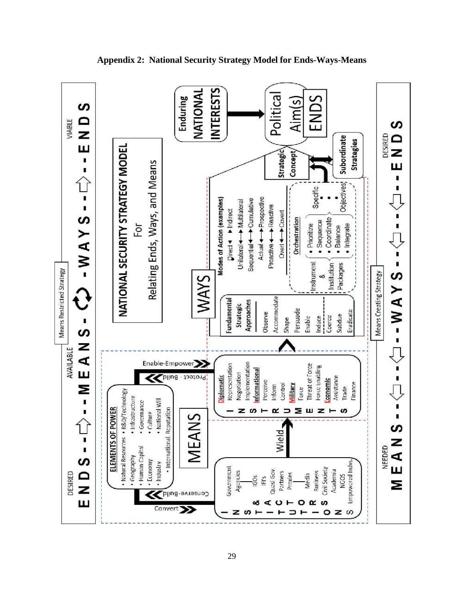<span id="page-35-0"></span>

**Appendix 2: National Security Strategy Model for Ends-Ways-Means**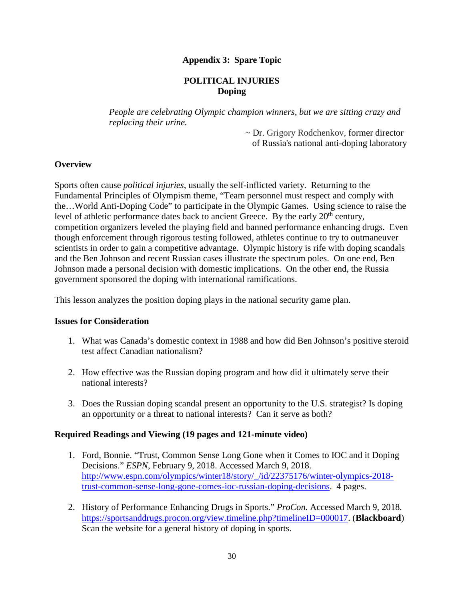## **Appendix 3: Spare Topic**

## **POLITICAL INJURIES Doping**

<span id="page-36-0"></span>*People are celebrating Olympic champion winners, but we are sitting crazy and replacing their urine.*

> ~ Dr. Grigory Rodchenkov, former director of Russia's national anti-doping laboratory

## **Overview**

Sports often cause *political injuries*, usually the self-inflicted variety. Returning to the Fundamental Principles of Olympism theme, "Team personnel must respect and comply with the…World Anti-Doping Code" to participate in the Olympic Games. Using science to raise the level of athletic performance dates back to ancient Greece. By the early  $20<sup>th</sup>$  century, competition organizers leveled the playing field and banned performance enhancing drugs. Even though enforcement through rigorous testing followed, athletes continue to try to outmaneuver scientists in order to gain a competitive advantage. Olympic history is rife with doping scandals and the Ben Johnson and recent Russian cases illustrate the spectrum poles. On one end, Ben Johnson made a personal decision with domestic implications. On the other end, the Russia government sponsored the doping with international ramifications.

This lesson analyzes the position doping plays in the national security game plan.

#### **Issues for Consideration**

- 1. What was Canada's domestic context in 1988 and how did Ben Johnson's positive steroid test affect Canadian nationalism?
- 2. How effective was the Russian doping program and how did it ultimately serve their national interests?
- 3. Does the Russian doping scandal present an opportunity to the U.S. strategist? Is doping an opportunity or a threat to national interests? Can it serve as both?

## **Required Readings and Viewing (19 pages and 121-minute video)**

- 1. Ford, Bonnie. "Trust, Common Sense Long Gone when it Comes to IOC and it Doping Decisions." *ESPN*, February 9, 2018. Accessed March 9, 2018. [http://www.espn.com/olympics/winter18/story/\\_/id/22375176/winter-olympics-2018](http://www.espn.com/olympics/winter18/story/_/id/22375176/winter-olympics-2018-trust-common-sense-long-gone-comes-ioc-russian-doping-decisions) [trust-common-sense-long-gone-comes-ioc-russian-doping-decisions.](http://www.espn.com/olympics/winter18/story/_/id/22375176/winter-olympics-2018-trust-common-sense-long-gone-comes-ioc-russian-doping-decisions) 4 pages.
- 2. History of Performance Enhancing Drugs in Sports." *ProCon.* Accessed March 9, 2018*.*  [https://sportsanddrugs.procon.org/view.timeline.php?timelineID=000017.](https://sportsanddrugs.procon.org/view.timeline.php?timelineID=000017) (**Blackboard**) Scan the website for a general history of doping in sports.